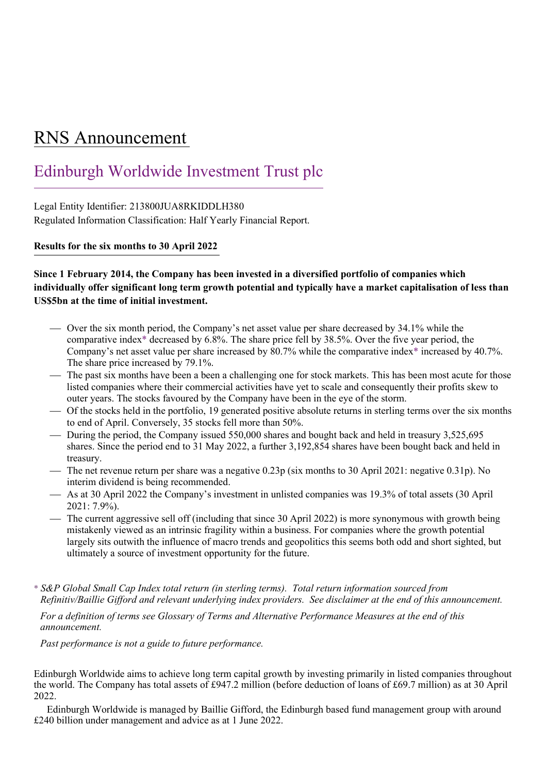## RNS Announcement

## Edinburgh Worldwide Investment Trust plc

Legal Entity Identifier: 213800JUA8RKIDDLH380 Regulated Information Classification: Half Yearly Financial Report.

**Results for the six months to 30 April 2022**

## **Since 1 February 2014, the Company has been invested in a diversified portfolio of companies which individually offer significant long term growth potential and typically have a market capitalisation of less than US\$5bn at the time of initial investment.**

- Over the six month period, the Company's net asset value per share decreased by 34.1% while the comparative index\* decreased by 6.8%. The share price fell by 38.5%. Over the five year period, the Company's net asset value per share increased by 80.7% while the comparative index\* increased by 40.7%. The share price increased by 79.1%.
- The past six months have been a been a challenging one for stock markets. This has been most acute for those listed companies where their commercial activities have yet to scale and consequently their profits skew to outer years. The stocks favoured by the Company have been in the eye of the storm.
- Of the stocks held in the portfolio, 19 generated positive absolute returns in sterling terms over the six months to end of April. Conversely, 35 stocks fell more than 50%.
- During the period, the Company issued 550,000 shares and bought back and held in treasury 3,525,695 shares. Since the period end to 31 May 2022, a further 3,192,854 shares have been bought back and held in treasury.
- The net revenue return per share was a negative 0.23p (six months to 30 April 2021: negative 0.31p). No interim dividend is being recommended.
- As at 30 April 2022 the Company's investment in unlisted companies was 19.3% of total assets (30 April 2021: 7.9%).
- The current aggressive sell off (including that since 30 April 2022) is more synonymous with growth being mistakenly viewed as an intrinsic fragility within a business. For companies where the growth potential largely sits outwith the influence of macro trends and geopolitics this seems both odd and short sighted, but ultimately a source of investment opportunity for the future.
- \* *S&P Global Small Cap Index total return (in sterling terms). Total return information sourced from Refinitiv/Baillie Gifford and relevant underlying index providers. See disclaimer at the end of this announcement.*

*For a definition of terms see Glossary of Terms and Alternative Performance Measures at the end of this announcement.*

*Past performance is not a guide to future performance.*

Edinburgh Worldwide aims to achieve long term capital growth by investing primarily in listed companies throughout the world. The Company has total assets of £947.2 million (before deduction of loans of £69.7 million) as at 30 April 2022.

Edinburgh Worldwide is managed by Baillie Gifford, the Edinburgh based fund management group with around £240 billion under management and advice as at 1 June 2022.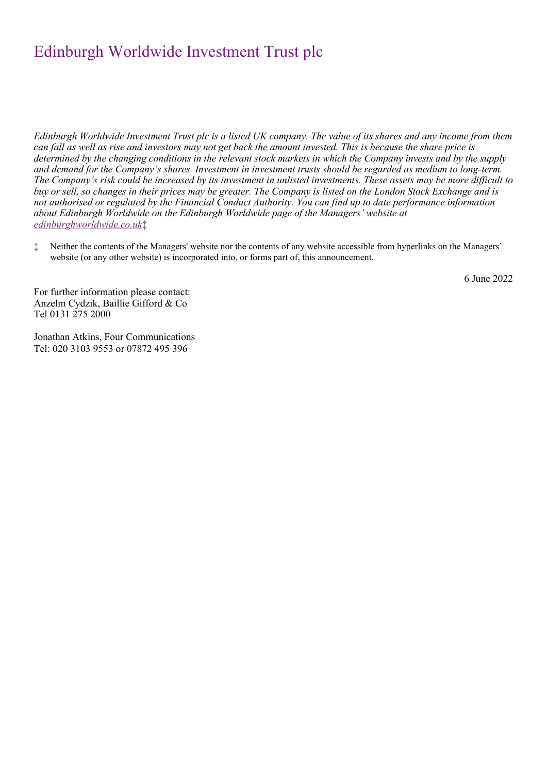*Edinburgh Worldwide Investment Trust plc is a listed UK company. The value of its shares and any income from them can fall as well as rise and investors may not get back the amount invested. This is because the share price is determined by the changing conditions in the relevant stock markets in which the Company invests and by the supply and demand for the Company's shares. Investment in investment trusts should be regarded as medium to long-term. The Company's risk could be increased by its investment in unlisted investments. These assets may be more difficult to buy or sell, so changes in their prices may be greater. The Company is listed on the London Stock Exchange and is not authorised or regulated by the Financial Conduct Authority. You can find up to date performance information about Edinburgh Worldwide on the Edinburgh Worldwide page of the Managers' website at [edinburghworldwide.co.uk](http://www.edinburghworldwide.co.uk/)*‡

‡ Neither the contents of the Managers' website nor the contents of any website accessible from hyperlinks on the Managers' website (or any other website) is incorporated into, or forms part of, this announcement.

6 June 2022

For further information please contact: Anzelm Cydzik, Baillie Gifford & Co Tel 0131 275 2000

Jonathan Atkins, Four Communications Tel: 020 3103 9553 or 07872 495 396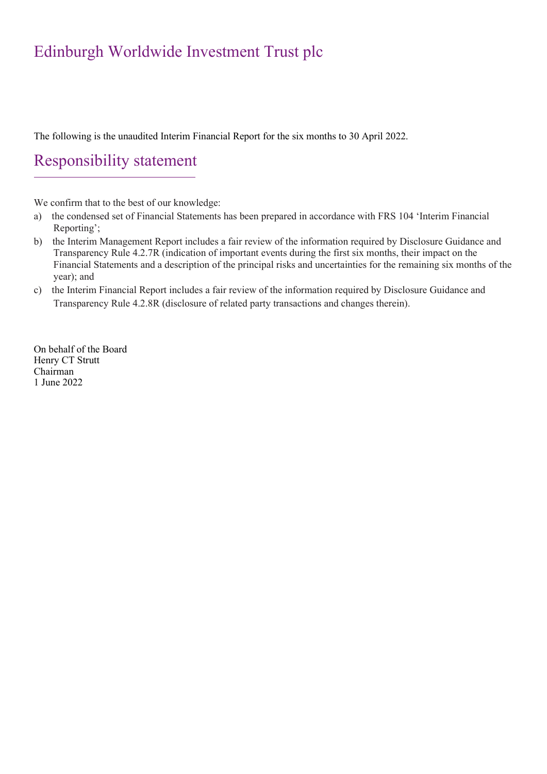The following is the unaudited Interim Financial Report for the six months to 30 April 2022.

## Responsibility statement

We confirm that to the best of our knowledge:

- a) the condensed set of Financial Statements has been prepared in accordance with FRS 104 'Interim Financial Reporting';
- b) the Interim Management Report includes a fair review of the information required by Disclosure Guidance and Transparency Rule 4.2.7R (indication of important events during the first six months, their impact on the Financial Statements and a description of the principal risks and uncertainties for the remaining six months of the year); and
- c) the Interim Financial Report includes a fair review of the information required by Disclosure Guidance and Transparency Rule 4.2.8R (disclosure of related party transactions and changes therein).

On behalf of the Board Henry CT Strutt Chairman 1 June 2022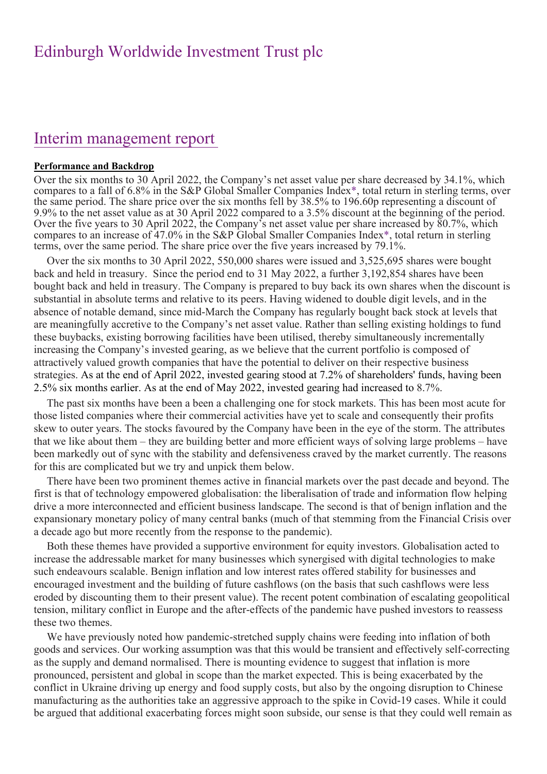## Interim management report

### **Performance and Backdrop**

Over the six months to 30 April 2022, the Company's net asset value per share decreased by 34.1%, which compares to a fall of 6.8% in the S&P Global Smaller Companies Index\*, total return in sterling terms, over the same period. The share price over the six months fell by 38.5% to 196.60p representing a discount of 9.9% to the net asset value as at 30 April 2022 compared to a 3.5% discount at the beginning of the period. Over the five years to 30 April 2022, the Company's net asset value per share increased by 80.7%, which compares to an increase of 47.0% in the S&P Global Smaller Companies Index\*, total return in sterling terms, over the same period. The share price over the five years increased by 79.1%.

Over the six months to 30 April 2022, 550,000 shares were issued and 3,525,695 shares were bought back and held in treasury. Since the period end to 31 May 2022, a further 3,192,854 shares have been bought back and held in treasury. The Company is prepared to buy back its own shares when the discount is substantial in absolute terms and relative to its peers. Having widened to double digit levels, and in the absence of notable demand, since mid-March the Company has regularly bought back stock at levels that are meaningfully accretive to the Company's net asset value. Rather than selling existing holdings to fund these buybacks, existing borrowing facilities have been utilised, thereby simultaneously incrementally increasing the Company's invested gearing, as we believe that the current portfolio is composed of attractively valued growth companies that have the potential to deliver on their respective business strategies. As at the end of April 2022, invested gearing stood at 7.2% of shareholders' funds, having been 2.5% six months earlier. As at the end of May 2022, invested gearing had increased to 8.7%.

The past six months have been a been a challenging one for stock markets. This has been most acute for those listed companies where their commercial activities have yet to scale and consequently their profits skew to outer years. The stocks favoured by the Company have been in the eye of the storm. The attributes that we like about them – they are building better and more efficient ways of solving large problems – have been markedly out of sync with the stability and defensiveness craved by the market currently. The reasons for this are complicated but we try and unpick them below.

There have been two prominent themes active in financial markets over the past decade and beyond. The first is that of technology empowered globalisation: the liberalisation of trade and information flow helping drive a more interconnected and efficient business landscape. The second is that of benign inflation and the expansionary monetary policy of many central banks (much of that stemming from the Financial Crisis over a decade ago but more recently from the response to the pandemic).

Both these themes have provided a supportive environment for equity investors. Globalisation acted to increase the addressable market for many businesses which synergised with digital technologies to make such endeavours scalable. Benign inflation and low interest rates offered stability for businesses and encouraged investment and the building of future cashflows (on the basis that such cashflows were less eroded by discounting them to their present value). The recent potent combination of escalating geopolitical tension, military conflict in Europe and the after-effects of the pandemic have pushed investors to reassess these two themes.

We have previously noted how pandemic-stretched supply chains were feeding into inflation of both goods and services. Our working assumption was that this would be transient and effectively self-correcting as the supply and demand normalised. There is mounting evidence to suggest that inflation is more pronounced, persistent and global in scope than the market expected. This is being exacerbated by the conflict in Ukraine driving up energy and food supply costs, but also by the ongoing disruption to Chinese manufacturing as the authorities take an aggressive approach to the spike in Covid-19 cases. While it could be argued that additional exacerbating forces might soon subside, our sense is that they could well remain as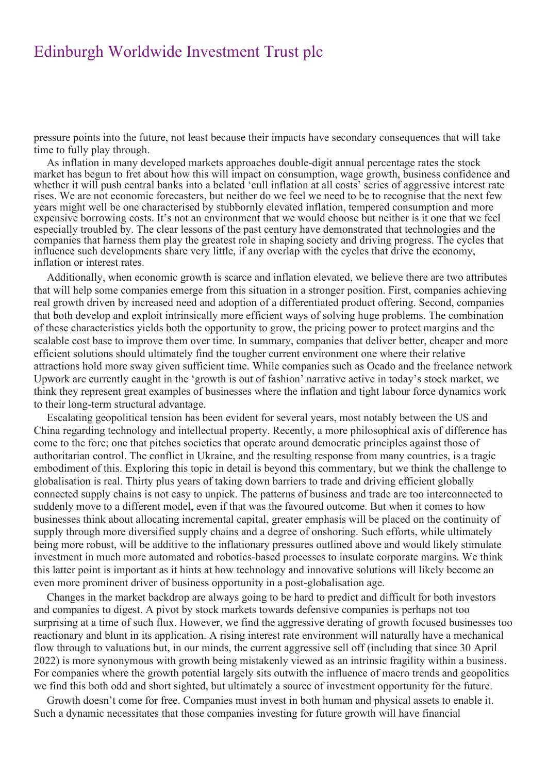pressure points into the future, not least because their impacts have secondary consequences that will take time to fully play through.

As inflation in many developed markets approaches double-digit annual percentage rates the stock market has begun to fret about how this will impact on consumption, wage growth, business confidence and whether it will push central banks into a belated 'cull inflation at all costs' series of aggressive interest rate rises. We are not economic forecasters, but neither do we feel we need to be to recognise that the next few years might well be one characterised by stubbornly elevated inflation, tempered consumption and more expensive borrowing costs. It's not an environment that we would choose but neither is it one that we feel especially troubled by. The clear lessons of the past century have demonstrated that technologies and the companies that harness them play the greatest role in shaping society and driving progress. The cycles that influence such developments share very little, if any overlap with the cycles that drive the economy, inflation or interest rates.

Additionally, when economic growth is scarce and inflation elevated, we believe there are two attributes that will help some companies emerge from this situation in a stronger position. First, companies achieving real growth driven by increased need and adoption of a differentiated product offering. Second, companies that both develop and exploit intrinsically more efficient ways of solving huge problems. The combination of these characteristics yields both the opportunity to grow, the pricing power to protect margins and the scalable cost base to improve them over time. In summary, companies that deliver better, cheaper and more efficient solutions should ultimately find the tougher current environment one where their relative attractions hold more sway given sufficient time. While companies such as Ocado and the freelance network Upwork are currently caught in the 'growth is out of fashion' narrative active in today's stock market, we think they represent great examples of businesses where the inflation and tight labour force dynamics work to their long-term structural advantage.

Escalating geopolitical tension has been evident for several years, most notably between the US and China regarding technology and intellectual property. Recently, a more philosophical axis of difference has come to the fore; one that pitches societies that operate around democratic principles against those of authoritarian control. The conflict in Ukraine, and the resulting response from many countries, is a tragic embodiment of this. Exploring this topic in detail is beyond this commentary, but we think the challenge to globalisation is real. Thirty plus years of taking down barriers to trade and driving efficient globally connected supply chains is not easy to unpick. The patterns of business and trade are too interconnected to suddenly move to a different model, even if that was the favoured outcome. But when it comes to how businesses think about allocating incremental capital, greater emphasis will be placed on the continuity of supply through more diversified supply chains and a degree of onshoring. Such efforts, while ultimately being more robust, will be additive to the inflationary pressures outlined above and would likely stimulate investment in much more automated and robotics-based processes to insulate corporate margins. We think this latter point is important as it hints at how technology and innovative solutions will likely become an even more prominent driver of business opportunity in a post-globalisation age.

Changes in the market backdrop are always going to be hard to predict and difficult for both investors and companies to digest. A pivot by stock markets towards defensive companies is perhaps not too surprising at a time of such flux. However, we find the aggressive derating of growth focused businesses too reactionary and blunt in its application. A rising interest rate environment will naturally have a mechanical flow through to valuations but, in our minds, the current aggressive sell off (including that since 30 April 2022) is more synonymous with growth being mistakenly viewed as an intrinsic fragility within a business. For companies where the growth potential largely sits outwith the influence of macro trends and geopolitics we find this both odd and short sighted, but ultimately a source of investment opportunity for the future.

Growth doesn't come for free. Companies must invest in both human and physical assets to enable it. Such a dynamic necessitates that those companies investing for future growth will have financial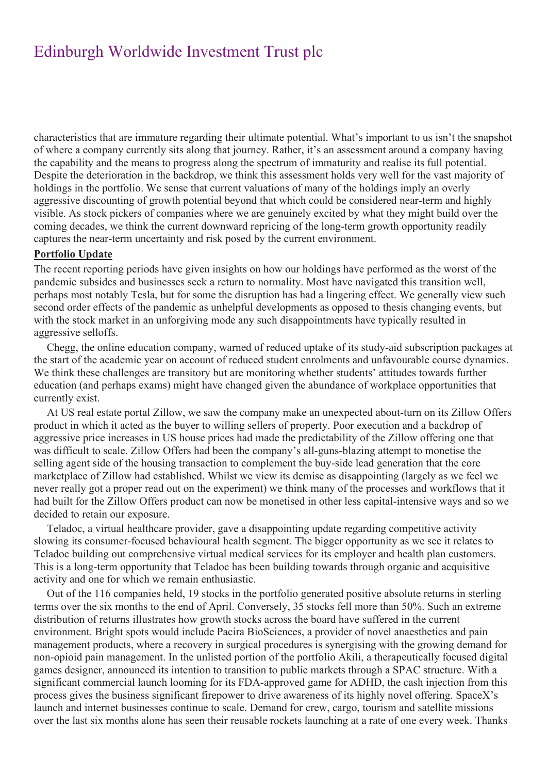characteristics that are immature regarding their ultimate potential. What's important to us isn't the snapshot of where a company currently sits along that journey. Rather, it's an assessment around a company having the capability and the means to progress along the spectrum of immaturity and realise its full potential. Despite the deterioration in the backdrop, we think this assessment holds very well for the vast majority of holdings in the portfolio. We sense that current valuations of many of the holdings imply an overly aggressive discounting of growth potential beyond that which could be considered near-term and highly visible. As stock pickers of companies where we are genuinely excited by what they might build over the coming decades, we think the current downward repricing of the long-term growth opportunity readily captures the near-term uncertainty and risk posed by the current environment.

### **Portfolio Update**

The recent reporting periods have given insights on how our holdings have performed as the worst of the pandemic subsides and businesses seek a return to normality. Most have navigated this transition well, perhaps most notably Tesla, but for some the disruption has had a lingering effect. We generally view such second order effects of the pandemic as unhelpful developments as opposed to thesis changing events, but with the stock market in an unforgiving mode any such disappointments have typically resulted in aggressive selloffs.

Chegg, the online education company, warned of reduced uptake of its study-aid subscription packages at the start of the academic year on account of reduced student enrolments and unfavourable course dynamics. We think these challenges are transitory but are monitoring whether students' attitudes towards further education (and perhaps exams) might have changed given the abundance of workplace opportunities that currently exist.

At US real estate portal Zillow, we saw the company make an unexpected about-turn on its Zillow Offers product in which it acted as the buyer to willing sellers of property. Poor execution and a backdrop of aggressive price increases in US house prices had made the predictability of the Zillow offering one that was difficult to scale. Zillow Offers had been the company's all-guns-blazing attempt to monetise the selling agent side of the housing transaction to complement the buy-side lead generation that the core marketplace of Zillow had established. Whilst we view its demise as disappointing (largely as we feel we never really got a proper read out on the experiment) we think many of the processes and workflows that it had built for the Zillow Offers product can now be monetised in other less capital-intensive ways and so we decided to retain our exposure.

Teladoc, a virtual healthcare provider, gave a disappointing update regarding competitive activity slowing its consumer-focused behavioural health segment. The bigger opportunity as we see it relates to Teladoc building out comprehensive virtual medical services for its employer and health plan customers. This is a long-term opportunity that Teladoc has been building towards through organic and acquisitive activity and one for which we remain enthusiastic.

Out of the 116 companies held, 19 stocks in the portfolio generated positive absolute returns in sterling terms over the six months to the end of April. Conversely, 35 stocks fell more than 50%. Such an extreme distribution of returns illustrates how growth stocks across the board have suffered in the current environment. Bright spots would include Pacira BioSciences, a provider of novel anaesthetics and pain management products, where a recovery in surgical procedures is synergising with the growing demand for non-opioid pain management. In the unlisted portion of the portfolio Akili, a therapeutically focused digital games designer, announced its intention to transition to public markets through a SPAC structure. With a significant commercial launch looming for its FDA-approved game for ADHD, the cash injection from this process gives the business significant firepower to drive awareness of its highly novel offering. SpaceX's launch and internet businesses continue to scale. Demand for crew, cargo, tourism and satellite missions over the last six months alone has seen their reusable rockets launching at a rate of one every week. Thanks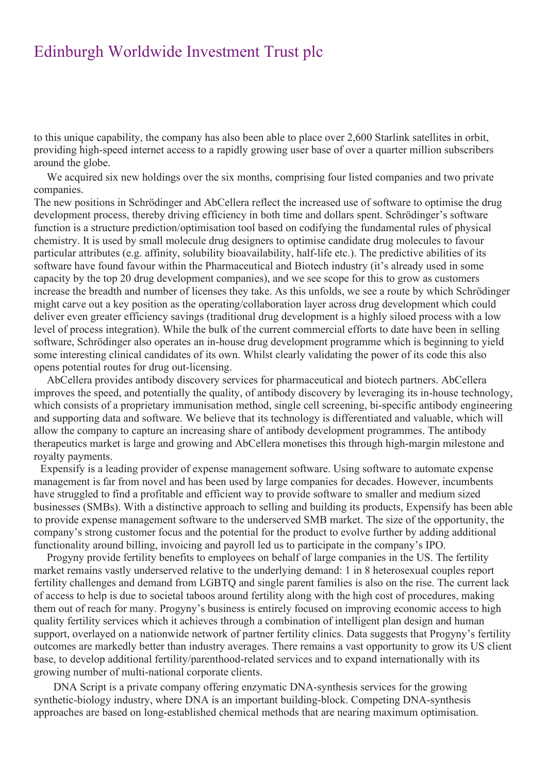to this unique capability, the company has also been able to place over 2,600 Starlink satellites in orbit, providing high-speed internet access to a rapidly growing user base of over a quarter million subscribers around the globe.

We acquired six new holdings over the six months, comprising four listed companies and two private companies.

The new positions in Schrödinger and AbCellera reflect the increased use of software to optimise the drug development process, thereby driving efficiency in both time and dollars spent. Schrödinger's software function is a structure prediction/optimisation tool based on codifying the fundamental rules of physical chemistry. It is used by small molecule drug designers to optimise candidate drug molecules to favour particular attributes (e.g. affinity, solubility bioavailability, half-life etc.). The predictive abilities of its software have found favour within the Pharmaceutical and Biotech industry (it's already used in some capacity by the top 20 drug development companies), and we see scope for this to grow as customers increase the breadth and number of licenses they take. As this unfolds, we see a route by which Schrödinger might carve out a key position as the operating/collaboration layer across drug development which could deliver even greater efficiency savings (traditional drug development is a highly siloed process with a low level of process integration). While the bulk of the current commercial efforts to date have been in selling software, Schrödinger also operates an in-house drug development programme which is beginning to yield some interesting clinical candidates of its own. Whilst clearly validating the power of its code this also opens potential routes for drug out-licensing.

AbCellera provides antibody discovery services for pharmaceutical and biotech partners. AbCellera improves the speed, and potentially the quality, of antibody discovery by leveraging its in-house technology, which consists of a proprietary immunisation method, single cell screening, bi-specific antibody engineering and supporting data and software. We believe that its technology is differentiated and valuable, which will allow the company to capture an increasing share of antibody development programmes. The antibody therapeutics market is large and growing and AbCellera monetises this through high-margin milestone and royalty payments.

Expensify is a leading provider of expense management software. Using software to automate expense management is far from novel and has been used by large companies for decades. However, incumbents have struggled to find a profitable and efficient way to provide software to smaller and medium sized businesses (SMBs). With a distinctive approach to selling and building its products, Expensify has been able to provide expense management software to the underserved SMB market. The size of the opportunity, the company's strong customer focus and the potential for the product to evolve further by adding additional functionality around billing, invoicing and payroll led us to participate in the company's IPO.

Progyny provide fertility benefits to employees on behalf of large companies in the US. The fertility market remains vastly underserved relative to the underlying demand: 1 in 8 heterosexual couples report fertility challenges and demand from LGBTQ and single parent families is also on the rise. The current lack of access to help is due to societal taboos around fertility along with the high cost of procedures, making them out of reach for many. Progyny's business is entirely focused on improving economic access to high quality fertility services which it achieves through a combination of intelligent plan design and human support, overlayed on a nationwide network of partner fertility clinics. Data suggests that Progyny's fertility outcomes are markedly better than industry averages. There remains a vast opportunity to grow its US client base, to develop additional fertility/parenthood-related services and to expand internationally with its growing number of multi-national corporate clients.

DNA Script is a private company offering enzymatic DNA-synthesis services for the growing synthetic-biology industry, where DNA is an important building-block. Competing DNA-synthesis approaches are based on long-established chemical methods that are nearing maximum optimisation.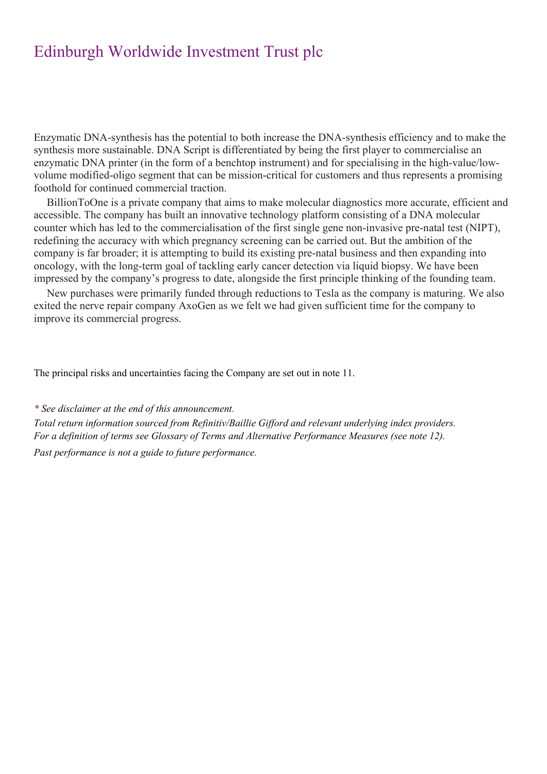Enzymatic DNA-synthesis has the potential to both increase the DNA-synthesis efficiency and to make the synthesis more sustainable. DNA Script is differentiated by being the first player to commercialise an enzymatic DNA printer (in the form of a benchtop instrument) and for specialising in the high-value/lowvolume modified-oligo segment that can be mission-critical for customers and thus represents a promising foothold for continued commercial traction.

BillionToOne is a private company that aims to make molecular diagnostics more accurate, efficient and accessible. The company has built an innovative technology platform consisting of a DNA molecular counter which has led to the commercialisation of the first single gene non-invasive pre-natal test (NIPT), redefining the accuracy with which pregnancy screening can be carried out. But the ambition of the company is far broader; it is attempting to build its existing pre-natal business and then expanding into oncology, with the long-term goal of tackling early cancer detection via liquid biopsy. We have been impressed by the company's progress to date, alongside the first principle thinking of the founding team.

New purchases were primarily funded through reductions to Tesla as the company is maturing. We also exited the nerve repair company AxoGen as we felt we had given sufficient time for the company to improve its commercial progress.

The principal risks and uncertainties facing the Company are set out in note 11.

*\* See disclaimer at the end of this announcement.*

*Total return information sourced from Refinitiv/Baillie Gifford and relevant underlying index providers. For a definition of terms see Glossary of Terms and Alternative Performance Measures (see note 12).*

*Past performance is not a guide to future performance.*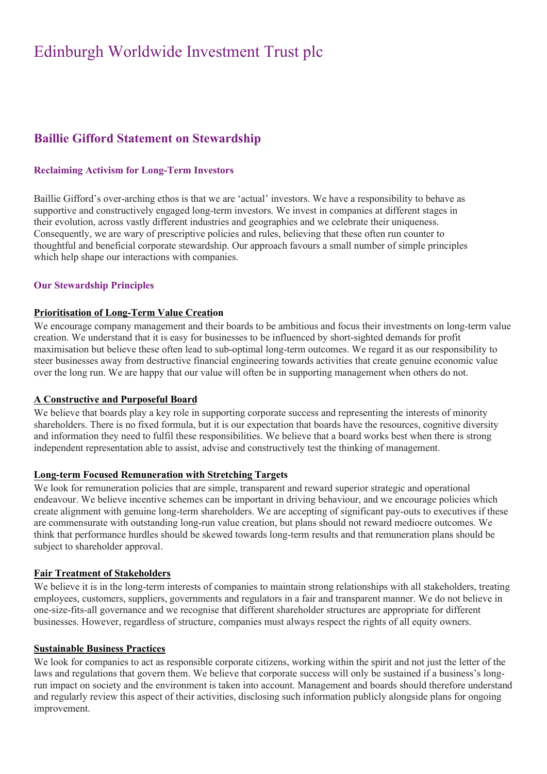## **Baillie Gifford Statement on Stewardship**

## **Reclaiming Activism for Long-Term Investors**

Baillie Gifford's over-arching ethos is that we are 'actual' investors. We have a responsibility to behave as supportive and constructively engaged long-term investors. We invest in companies at different stages in their evolution, across vastly different industries and geographies and we celebrate their uniqueness. Consequently, we are wary of prescriptive policies and rules, believing that these often run counter to thoughtful and beneficial corporate stewardship. Our approach favours a small number of simple principles which help shape our interactions with companies.

### **Our Stewardship Principles**

### **Prioritisation of Long-Term Value Creation**

We encourage company management and their boards to be ambitious and focus their investments on long-term value creation. We understand that it is easy for businesses to be influenced by short-sighted demands for profit maximisation but believe these often lead to sub-optimal long-term outcomes. We regard it as our responsibility to steer businesses away from destructive financial engineering towards activities that create genuine economic value over the long run. We are happy that our value will often be in supporting management when others do not.

### **A Constructive and Purposeful Board**

We believe that boards play a key role in supporting corporate success and representing the interests of minority shareholders. There is no fixed formula, but it is our expectation that boards have the resources, cognitive diversity and information they need to fulfil these responsibilities. We believe that a board works best when there is strong independent representation able to assist, advise and constructively test the thinking of management.

### **Long-term Focused Remuneration with Stretching Targets**

We look for remuneration policies that are simple, transparent and reward superior strategic and operational endeavour. We believe incentive schemes can be important in driving behaviour, and we encourage policies which create alignment with genuine long-term shareholders. We are accepting of significant pay-outs to executives if these are commensurate with outstanding long-run value creation, but plans should not reward mediocre outcomes. We think that performance hurdles should be skewed towards long-term results and that remuneration plans should be subject to shareholder approval.

### **Fair Treatment of Stakeholders**

We believe it is in the long-term interests of companies to maintain strong relationships with all stakeholders, treating employees, customers, suppliers, governments and regulators in a fair and transparent manner. We do not believe in one-size-fits-all governance and we recognise that different shareholder structures are appropriate for different businesses. However, regardless of structure, companies must always respect the rights of all equity owners.

### **Sustainable Business Practices**

We look for companies to act as responsible corporate citizens, working within the spirit and not just the letter of the laws and regulations that govern them. We believe that corporate success will only be sustained if a business's longrun impact on society and the environment is taken into account. Management and boards should therefore understand and regularly review this aspect of their activities, disclosing such information publicly alongside plans for ongoing improvement.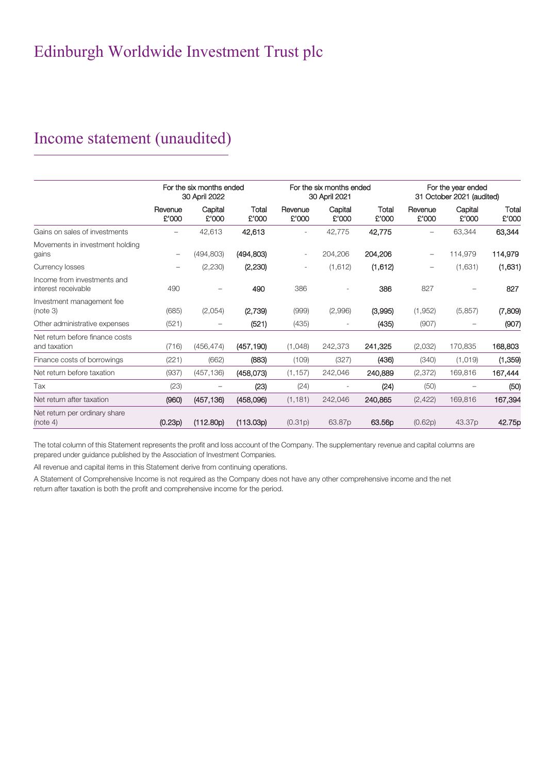# Income statement (unaudited)

|                                                    |                  | For the six months ended<br>30 April 2022 |                | For the six months ended<br>30 April 2021 |                          | For the year ended<br>31 October 2021 (audited) |                  |                  |                |
|----------------------------------------------------|------------------|-------------------------------------------|----------------|-------------------------------------------|--------------------------|-------------------------------------------------|------------------|------------------|----------------|
|                                                    | Revenue<br>£'000 | Capital<br>£'000                          | Total<br>£'000 | Revenue<br>£'000                          | Capital<br>£'000         | Total<br>£'000                                  | Revenue<br>£'000 | Capital<br>£'000 | Total<br>£'000 |
| Gains on sales of investments                      |                  | 42,613                                    | 42,613         | $\overline{\phantom{a}}$                  | 42,775                   | 42,775                                          |                  | 63,344           | 63,344         |
| Movements in investment holding<br>gains           | -                | (494, 803)                                | (494, 803)     | $\overline{\phantom{a}}$                  | 204,206                  | 204,206                                         |                  | 114,979          | 114,979        |
| Currency losses                                    |                  | (2,230)                                   | (2, 230)       | $\overline{\phantom{a}}$                  | (1,612)                  | (1,612)                                         |                  | (1,631)          | (1,631)        |
| Income from investments and<br>interest receivable | 490              |                                           | 490            | 386                                       |                          | 386                                             | 827              |                  | 827            |
| Investment management fee<br>(note 3)              | (685)            | (2,054)                                   | (2,739)        | (999)                                     | (2,996)                  | (3,995)                                         | (1,952)          | (5,857)          | (7,809)        |
| Other administrative expenses                      | (521)            |                                           | (521)          | (435)                                     | $\overline{\phantom{0}}$ | (435)                                           | (907)            |                  | (907)          |
| Net return before finance costs<br>and taxation    | (716)            | (456, 474)                                | (457, 190)     | (1,048)                                   | 242,373                  | 241,325                                         | (2,032)          | 170,835          | 168,803        |
| Finance costs of borrowings                        | (221)            | (662)                                     | (883)          | (109)                                     | (327)                    | (436)                                           | (340)            | (1,019)          | (1,359)        |
| Net return before taxation                         | (937)            | (457, 136)                                | (458,073)      | (1, 157)                                  | 242,046                  | 240,889                                         | (2, 372)         | 169,816          | 167,444        |
| Tax                                                | (23)             |                                           | (23)           | (24)                                      |                          | (24)                                            | (50)             |                  | (50)           |
| Net return after taxation                          | (960)            | (457, 136)                                | (458,096)      | (1, 181)                                  | 242,046                  | 240,865                                         | (2, 422)         | 169,816          | 167,394        |
| Net return per ordinary share<br>(note 4)          | (0.23p)          | (112.80p)                                 | (113.03p)      | (0.31p)                                   | 63.87p                   | 63.56p                                          | (0.62p)          | 43.37p           | 42.75p         |

The total column of this Statement represents the profit and loss account of the Company. The supplementary revenue and capital columns are prepared under guidance published by the Association of Investment Companies.

All revenue and capital items in this Statement derive from continuing operations.

A Statement of Comprehensive Income is not required as the Company does not have any other comprehensive income and the net return after taxation is both the profit and comprehensive income for the period.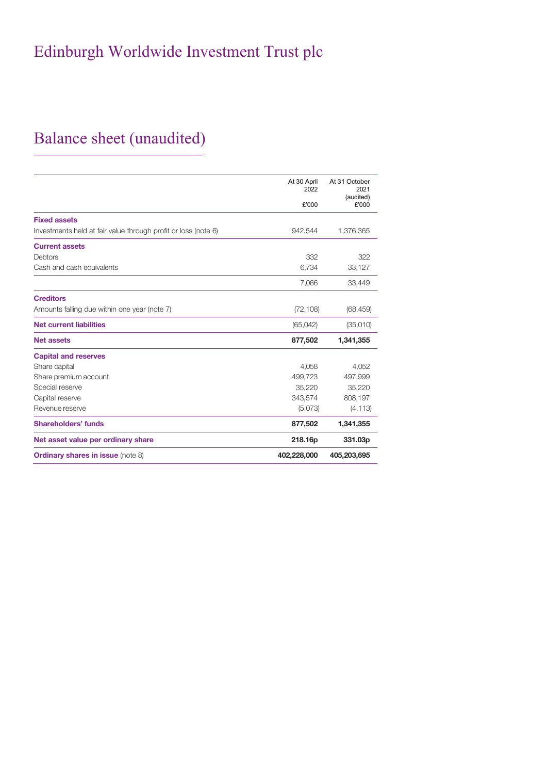# Balance sheet (unaudited)

|                                                                | At 30 April<br>2022 | At 31 October<br>2021 |
|----------------------------------------------------------------|---------------------|-----------------------|
|                                                                | £'000               | (audited)<br>£'000    |
| <b>Fixed assets</b>                                            |                     |                       |
| Investments held at fair value through profit or loss (note 6) | 942,544             | 1,376,365             |
| <b>Current assets</b>                                          |                     |                       |
| Debtors                                                        | 332                 | 322                   |
| Cash and cash equivalents                                      | 6,734               | 33,127                |
|                                                                | 7,066               | 33,449                |
| <b>Creditors</b>                                               |                     |                       |
| Amounts falling due within one year (note 7)                   | (72, 108)           | (68, 459)             |
| <b>Net current liabilities</b>                                 | (65,042)            | (35,010)              |
| <b>Net assets</b>                                              | 877,502             | 1,341,355             |
| <b>Capital and reserves</b>                                    |                     |                       |
| Share capital                                                  | 4,058               | 4.052                 |
| Share premium account                                          | 499,723             | 497,999               |
| Special reserve                                                | 35,220              | 35,220                |
| Capital reserve                                                | 343,574             | 808,197               |
| Revenue reserve                                                | (5,073)             | (4, 113)              |
| <b>Shareholders' funds</b>                                     | 877,502             | 1,341,355             |
| Net asset value per ordinary share                             | 218.16p             | 331.03p               |
| <b>Ordinary shares in issue (note 8)</b>                       | 402,228,000         | 405,203,695           |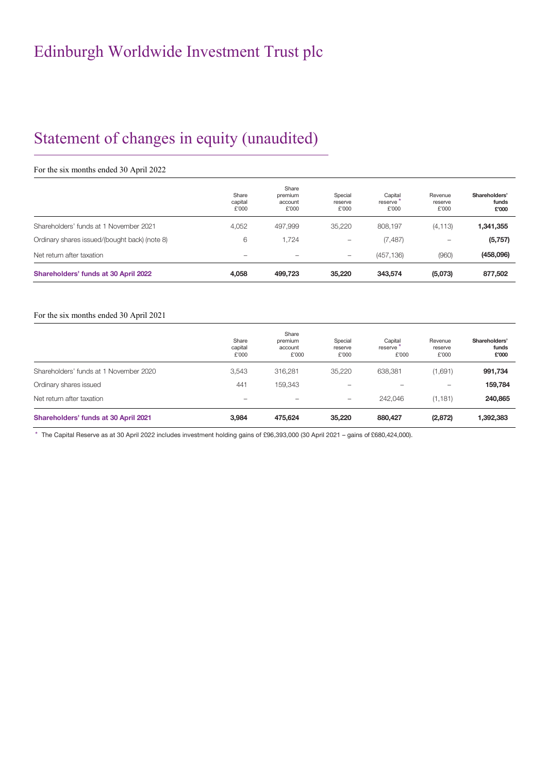# Statement of changes in equity (unaudited)

## For the six months ended 30 April 2022

|                                               | Share<br>capital<br>£'000 | Share<br>premium<br>account<br>£'000 | Special<br>reserve<br>£'000 | Capital<br>reserve<br>£'000 | Revenue<br>reserve<br>£'000 | Shareholders'<br>funds<br>£'000 |
|-----------------------------------------------|---------------------------|--------------------------------------|-----------------------------|-----------------------------|-----------------------------|---------------------------------|
| Shareholders' funds at 1 November 2021        | 4.052                     | 497,999                              | 35,220                      | 808.197                     | (4, 113)                    | 1,341,355                       |
| Ordinary shares issued/(bought back) (note 8) | 6                         | 1,724                                | $\qquad \qquad$             | (7, 487)                    | $\overline{\phantom{0}}$    | (5,757)                         |
| Net return after taxation                     | $\overline{\phantom{0}}$  | $\equiv$                             | $\qquad \qquad =$           | (457, 136)                  | (960)                       | (458,096)                       |
| Shareholders' funds at 30 April 2022          | 4.058                     | 499,723                              | 35,220                      | 343.574                     | (5,073)                     | 877,502                         |

#### For the six months ended 30 April 2021

|                                        | Share<br>capital<br>£'000 | Share<br>premium<br>account<br>£'000 | Special<br>reserve<br>£'000 | Capital<br>reserve<br>£'000 | Revenue<br>reserve<br>£'000 | Shareholders'<br>funds<br>£'000 |
|----------------------------------------|---------------------------|--------------------------------------|-----------------------------|-----------------------------|-----------------------------|---------------------------------|
| Shareholders' funds at 1 November 2020 | 3.543                     | 316,281                              | 35,220                      | 638,381                     | (1,691)                     | 991,734                         |
| Ordinary shares issued                 | 441                       | 159.343                              | -                           |                             | $\qquad \qquad -$           | 159,784                         |
| Net return after taxation              | $\overline{\phantom{0}}$  | $\equiv$                             | $\qquad \qquad -$           | 242,046                     | (1, 181)                    | 240,865                         |
| Shareholders' funds at 30 April 2021   | 3.984                     | 475.624                              | 35,220                      | 880,427                     | (2,872)                     | 1,392,383                       |

\* The Capital Reserve as at 30 April 2022 includes investment holding gains of £96,393,000 (30 April 2021 – gains of £680,424,000).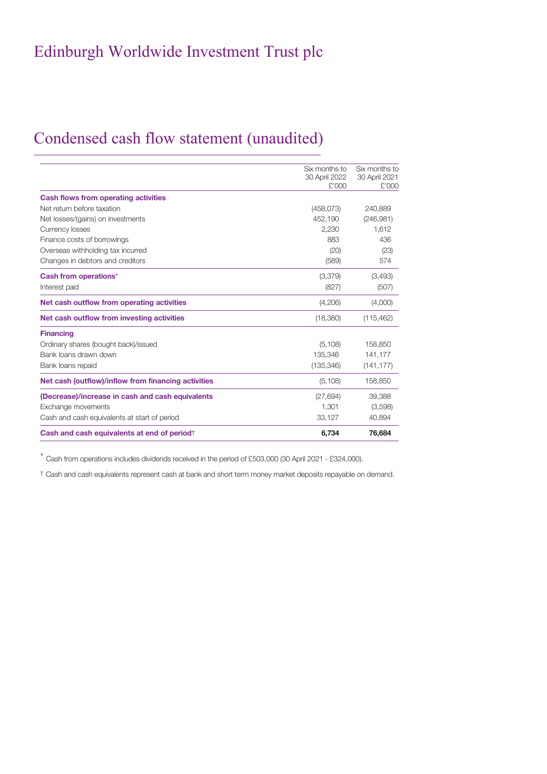## Condensed cash flow statement (unaudited)

| Cash and cash equivalents at end of period                             | 6.734                  | 76,684                 |
|------------------------------------------------------------------------|------------------------|------------------------|
| Cash and cash equivalents at start of period                           | 33,127                 | 40,894                 |
| (Decrease)/increase in cash and cash equivalents<br>Exchange movements | (27, 694)<br>1.301     | 39,388<br>(3,598)      |
| Net cash (outflow)/inflow from financing activities                    | (5, 108)               | 158,850                |
| Bank loans repaid                                                      | (135, 346)             | (141, 177)             |
| Bank loans drawn down                                                  | 135.346                | 141.177                |
| <b>Financing</b><br>Ordinary shares (bought back)/issued               | (5, 108)               | 158,850                |
| Net cash outflow from investing activities                             | (18,380)               | (115, 462)             |
| Net cash outflow from operating activities                             | (4,206)                | (4,000)                |
| Interest paid                                                          | (827)                  | (507)                  |
| Cash from operations*                                                  | (3,379)                | (3,493)                |
| Changes in debtors and creditors                                       | (589)                  | 574                    |
| Overseas withholding tax incurred                                      | (20)                   | (23)                   |
| Finance costs of borrowings                                            | 883                    | 436                    |
| Currency losses                                                        | 2.230                  | 1.612                  |
| Net losses/(gains) on investments                                      | 452,190                | (246, 981)             |
| Net return before taxation                                             | (458,073)              | 240,889                |
| <b>Cash flows from operating activities</b>                            |                        |                        |
|                                                                        | 30 April 2022<br>£'000 | 30 April 2021<br>£'000 |
|                                                                        | Six months to          | Six months to          |

\* Cash from operations includes dividends received in the period of £503,000 (30 April 2021 - £324,000).

† Cash and cash equivalents represent cash at bank and short term money market deposits repayable on demand.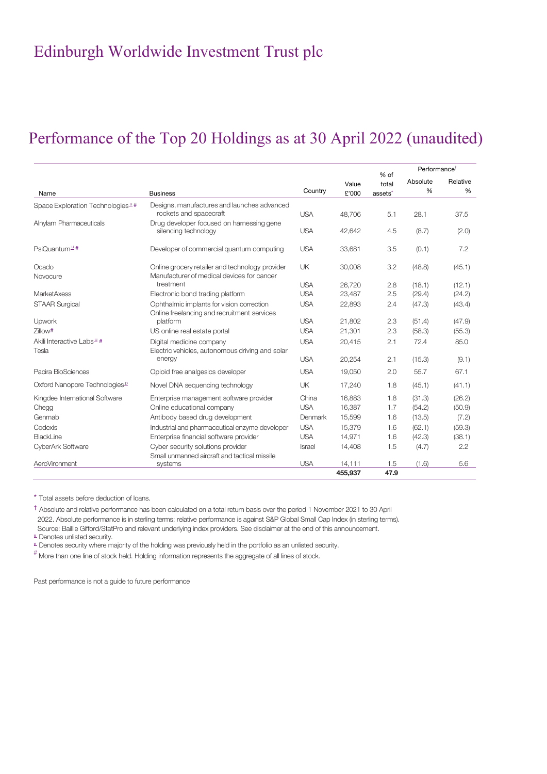## Performance of the Top 20 Holdings as at 30 April 2022 (unaudited)

|                                               |                                                                   |            |                |                                      | Performance <sup>+</sup> |               |
|-----------------------------------------------|-------------------------------------------------------------------|------------|----------------|--------------------------------------|--------------------------|---------------|
| Name                                          | <b>Business</b>                                                   | Country    | Value<br>£'000 | % of<br>total<br>assets <sup>*</sup> | Absolute<br>%            | Relative<br>% |
|                                               | Designs, manufactures and launches advanced                       |            |                |                                      |                          |               |
| Space Exploration Technologies <sup>1</sup> # | rockets and spacecraft                                            | <b>USA</b> | 48,706         | 5.1                                  | 28.1                     | 37.5          |
| Alnylam Pharmaceuticals                       | Drug developer focused on harnessing gene<br>silencing technology | <b>USA</b> | 42,642         | 4.5                                  | (8.7)                    | (2.0)         |
| PsiQuantum <sup>_u</sup> #                    | Developer of commercial quantum computing                         | <b>USA</b> | 33,681         | 3.5                                  | (0.1)                    | 7.2           |
| Ocado                                         | Online grocery retailer and technology provider                   | UK         | 30,008         | 3.2                                  | (48.8)                   | (45.1)        |
| Novocure                                      | Manufacturer of medical devices for cancer                        |            |                |                                      |                          |               |
|                                               | treatment                                                         | <b>USA</b> | 26,720         | 2.8                                  | (18.1)                   | (12.1)        |
| <b>MarketAxess</b>                            | Electronic bond trading platform                                  | <b>USA</b> | 23,487         | 2.5                                  | (29.4)                   | (24.2)        |
| <b>STAAR Surgical</b>                         | Ophthalmic implants for vision correction                         | <b>USA</b> | 22,893         | 2.4                                  | (47.3)                   | (43.4)        |
|                                               | Online freelancing and recruitment services                       |            |                |                                      |                          |               |
| Upwork                                        | platform                                                          | <b>USA</b> | 21,802         | 2.3                                  | (51.4)                   | (47.9)        |
| Zillow#                                       | US online real estate portal                                      | <b>USA</b> | 21,301         | 2.3                                  | (58.3)                   | (55.3)        |
| Akili Interactive Labs <sup>1</sup> #         | Digital medicine company                                          | <b>USA</b> | 20,415         | 2.1                                  | 72.4                     | 85.0          |
| Tesla                                         | Electric vehicles, autonomous driving and solar<br>energy         | <b>USA</b> | 20,254         | 2.1                                  | (15.3)                   | (9.1)         |
| Pacira BioSciences                            | Opioid free analgesics developer                                  | <b>USA</b> | 19,050         | 2.0                                  | 55.7                     | 67.1          |
| Oxford Nanopore Technologies <sup>®</sup>     | Novel DNA sequencing technology                                   | <b>UK</b>  | 17,240         | 1.8                                  | (45.1)                   | (41.1)        |
| Kingdee International Software                | Enterprise management software provider                           | China      | 16,883         | 1.8                                  | (31.3)                   | (26.2)        |
| Chegg                                         | Online educational company                                        | <b>USA</b> | 16,387         | 1.7                                  | (54.2)                   | (50.9)        |
| Genmab                                        | Antibody based drug development                                   | Denmark    | 15,599         | 1.6                                  | (13.5)                   | (7.2)         |
| Codexis                                       | Industrial and pharmaceutical enzyme developer                    | <b>USA</b> | 15,379         | 1.6                                  | (62.1)                   | (59.3)        |
| BlackLine                                     | Enterprise financial software provider                            | <b>USA</b> | 14,971         | 1.6                                  | (42.3)                   | (38.1)        |
| CyberArk Software                             | Cyber security solutions provider                                 | Israel     | 14,408         | 1.5                                  | (4.7)                    | 2.2           |
|                                               | Small unmanned aircraft and tactical missile                      |            |                |                                      |                          |               |
| AeroVironment                                 | systems                                                           | <b>USA</b> | 14,111         | 1.5                                  | (1.6)                    | 5.6           |
|                                               |                                                                   |            | 455,937        | 47.9                                 |                          |               |

\* Total assets before deduction of loans.

† Absolute and relative performance has been calculated on a total return basis over the period 1 November 2021 to 30 April 2022. Absolute performance is in sterling terms; relative performance is against S&P Global Small Cap Index (in sterling terms). Source: Baillie Gifford/StatPro and relevant underlying index providers. See disclaimer at the end of this announcement.

 $\frac{u}{c}$  Denotes unlisted security.

<sup>p</sup> Denotes security where majority of the holding was previously held in the portfolio as an unlisted security.

 $*$  More than one line of stock held. Holding information represents the aggregate of all lines of stock.

Past performance is not a guide to future performance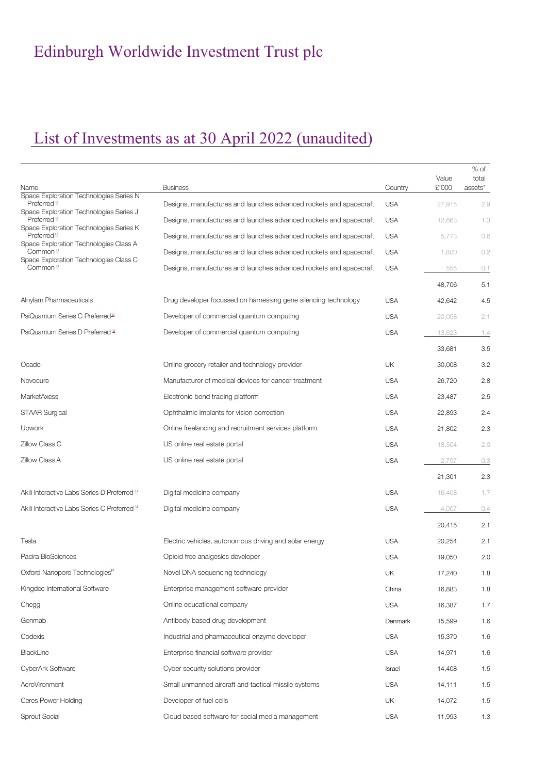# List of Investments as at 30 April 2022 (unaudited)

|                                                                  |                                                                    |            | Value  | $%$ of<br>total |
|------------------------------------------------------------------|--------------------------------------------------------------------|------------|--------|-----------------|
| Name<br>Space Exploration Technologies Series N                  | <b>Business</b>                                                    | Country    | £'000  | assets*         |
| Preferred "<br>Space Exploration Technologies Series J           | Designs, manufactures and launches advanced rockets and spacecraft | <b>USA</b> | 27,915 | 2.9             |
| Preferred L<br>Space Exploration Technologies Series K           | Designs, manufactures and launches advanced rockets and spacecraft | <b>USA</b> | 12,663 | 1.3             |
| Preferred <sup>1</sup><br>Space Exploration Technologies Class A | Designs, manufactures and launches advanced rockets and spacecraft | <b>USA</b> | 5,773  | 0.6             |
| Common L                                                         | Designs, manufactures and launches advanced rockets and spacecraft | <b>USA</b> | 1,800  | 0.2             |
| Space Exploration Technologies Class C<br>Common "               | Designs, manufactures and launches advanced rockets and spacecraft | <b>USA</b> | 555    | 0.1             |
|                                                                  |                                                                    |            | 48,706 | 5.1             |
| Alnylam Pharmaceuticals                                          | Drug developer focussed on harnessing gene silencing technology    | <b>USA</b> | 42,642 | 4.5             |
| PsiQuantum Series C Preferred <sup>14</sup>                      | Developer of commercial quantum computing                          | <b>USA</b> | 20,058 | 2.1             |
| PsiQuantum Series D Preferred L                                  | Developer of commercial quantum computing                          | <b>USA</b> | 13,623 | 1.4             |
|                                                                  |                                                                    |            | 33,681 | 3.5             |
| Ocado                                                            | Online grocery retailer and technology provider                    | UK         | 30,008 | 3.2             |
| Novocure                                                         | Manufacturer of medical devices for cancer treatment               | <b>USA</b> | 26,720 | 2.8             |
| <b>MarketAxess</b>                                               | Electronic bond trading platform                                   | <b>USA</b> | 23,487 | 2.5             |
| <b>STAAR Surgical</b>                                            | Ophthalmic implants for vision correction                          | <b>USA</b> | 22,893 | 2.4             |
| Upwork                                                           | Online freelancing and recruitment services platform               | <b>USA</b> | 21,802 | 2.3             |
| Zillow Class C                                                   | US online real estate portal                                       | <b>USA</b> | 18,504 | 2.0             |
| <b>Zillow Class A</b>                                            | US online real estate portal                                       | <b>USA</b> | 2,797  | 0.3             |
|                                                                  |                                                                    |            | 21,301 | 2.3             |
| Akili Interactive Labs Series D Preferred L                      | Digital medicine company                                           | <b>USA</b> | 16,408 | 1.7             |
| Akili Interactive Labs Series C Preferred L                      | Digital medicine company                                           | <b>USA</b> | 4,007  | 0.4             |
|                                                                  |                                                                    |            | 20,415 | 2.1             |
| Tesla                                                            | Electric vehicles, autonomous driving and solar energy             | <b>USA</b> | 20,254 | 2.1             |
| Pacira BioSciences                                               | Opioid free analgesics developer                                   | <b>USA</b> | 19,050 | 2.0             |
| Oxford Nanopore Technologies <sup>F</sup>                        | Novel DNA sequencing technology                                    | UK         | 17,240 | 1.8             |
| Kingdee International Software                                   | Enterprise management software provider                            | China      | 16,883 | 1.8             |
| Chegg                                                            | Online educational company                                         | <b>USA</b> | 16,387 | 1.7             |
| Genmab                                                           | Antibody based drug development                                    | Denmark    | 15,599 | 1.6             |
| Codexis                                                          | Industrial and pharmaceutical enzyme developer                     | <b>USA</b> | 15,379 | 1.6             |
| BlackLine                                                        | Enterprise financial software provider                             | <b>USA</b> | 14,971 | 1.6             |
| CyberArk Software                                                | Cyber security solutions provider                                  | Israel     | 14,408 | 1.5             |
| AeroVironment                                                    | Small unmanned aircraft and tactical missile systems               | <b>USA</b> | 14,111 | 1.5             |
| Ceres Power Holding                                              | Developer of fuel cells                                            | UK         | 14,072 | 1.5             |
| Sprout Social                                                    | Cloud based software for social media management                   | <b>USA</b> | 11,993 | 1.3             |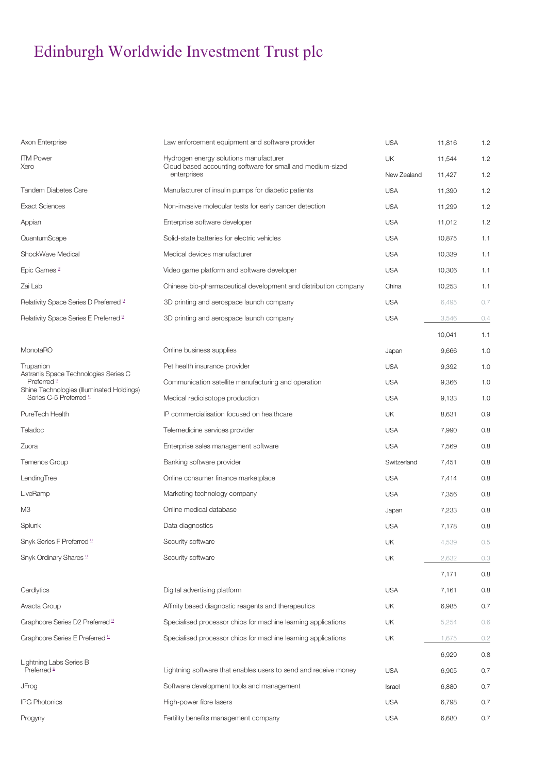| Axon Enterprise                                                     | Law enforcement equipment and software provider                 | <b>USA</b>  | 11,816 | 1.2     |
|---------------------------------------------------------------------|-----------------------------------------------------------------|-------------|--------|---------|
| <b>ITM Power</b>                                                    | Hydrogen energy solutions manufacturer                          | UK          |        | 1.2     |
| Xero                                                                | Cloud based accounting software for small and medium-sized      |             | 11,544 |         |
|                                                                     | enterprises                                                     | New Zealand | 11,427 | 1.2     |
| Tandem Diabetes Care                                                | Manufacturer of insulin pumps for diabetic patients             | <b>USA</b>  | 11,390 | 1.2     |
| <b>Exact Sciences</b>                                               | Non-invasive molecular tests for early cancer detection         | <b>USA</b>  | 11,299 | 1.2     |
| Appian                                                              | Enterprise software developer                                   | <b>USA</b>  | 11,012 | 1.2     |
| QuantumScape                                                        | Solid-state batteries for electric vehicles                     | <b>USA</b>  | 10.875 | 1.1     |
| ShockWave Medical                                                   | Medical devices manufacturer                                    | <b>USA</b>  | 10,339 | 1.1     |
| Epic Games "                                                        | Video game platform and software developer                      | <b>USA</b>  | 10,306 | 1.1     |
| Zai Lab                                                             | Chinese bio-pharmaceutical development and distribution company | China       | 10,253 | 1.1     |
| Relativity Space Series D Preferred L                               | 3D printing and aerospace launch company                        | <b>USA</b>  | 6,495  | 0.7     |
| Relativity Space Series E Preferred L                               | 3D printing and aerospace launch company                        | <b>USA</b>  | 3,546  | 0.4     |
|                                                                     |                                                                 |             | 10,041 | 1.1     |
| MonotaRO                                                            | Online business supplies                                        | Japan       | 9,666  | 1.0     |
| Trupanion                                                           | Pet health insurance provider                                   | <b>USA</b>  | 9,392  | 1.0     |
| Astranis Space Technologies Series C<br>Preferred L                 | Communication satellite manufacturing and operation             | <b>USA</b>  | 9,366  | 1.0     |
| Shine Technologies (Illuminated Holdings)<br>Series C-5 Preferred " | Medical radioisotope production                                 | <b>USA</b>  | 9,133  | 1.0     |
| PureTech Health                                                     | IP commercialisation focused on healthcare                      | UK          | 8,631  | 0.9     |
| Teladoc                                                             | Telemedicine services provider                                  | <b>USA</b>  | 7,990  | 0.8     |
| Zuora                                                               | Enterprise sales management software                            | <b>USA</b>  | 7,569  | 0.8     |
| Temenos Group                                                       | Banking software provider                                       | Switzerland | 7,451  | 0.8     |
| LendingTree                                                         | Online consumer finance marketplace                             | <b>USA</b>  | 7,414  | 0.8     |
| LiveRamp                                                            | Marketing technology company                                    | <b>USA</b>  | 7,356  | 0.8     |
| M3                                                                  | Online medical database                                         | Japan       | 7,233  | 0.8     |
| Splunk                                                              | Data diagnostics                                                | <b>USA</b>  | 7,178  | 0.8     |
| Snyk Series F Preferred L                                           | Security software                                               | UK          | 4,539  | 0.5     |
| Snyk Ordinary Shares "                                              | Security software                                               | UK          | 2,632  | 0.3     |
|                                                                     |                                                                 |             | 7,171  | 0.8     |
| Cardlytics                                                          | Digital advertising platform                                    | <b>USA</b>  | 7,161  | $0.8\,$ |
| Avacta Group                                                        | Affinity based diagnostic reagents and therapeutics             | UK          | 6,985  | 0.7     |
| Graphcore Series D2 Preferred "                                     | Specialised processor chips for machine learning applications   | UK          | 5,254  | 0.6     |
| Graphcore Series E Preferred L                                      | Specialised processor chips for machine learning applications   | UK          | 1,675  | 0.2     |
|                                                                     |                                                                 |             | 6,929  | 0.8     |
| Lightning Labs Series B<br>Preferred "                              | Lightning software that enables users to send and receive money | <b>USA</b>  | 6,905  | 0.7     |
| JFrog                                                               | Software development tools and management                       | Israel      | 6,880  | 0.7     |
| <b>IPG Photonics</b>                                                | High-power fibre lasers                                         | <b>USA</b>  | 6,798  | 0.7     |
| Progyny                                                             | Fertility benefits management company                           | <b>USA</b>  | 6,680  | 0.7     |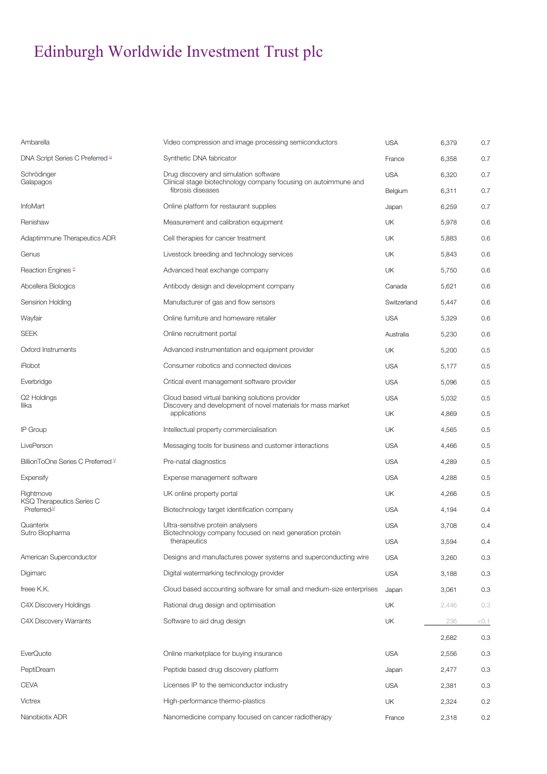| Ambarella                                                   | Video compression and image processing semiconductors                                                          | <b>USA</b>  | 6,379 | 0.7  |
|-------------------------------------------------------------|----------------------------------------------------------------------------------------------------------------|-------------|-------|------|
| DNA Script Series C Preferred L                             | Synthetic DNA fabricator                                                                                       | France      | 6,358 | 0.7  |
| Schrödinger                                                 | Drug discovery and simulation software<br>Clinical stage biotechnology company focusing on autoimmune and      |             | 6,320 | 0.7  |
| Galapagos                                                   | fibrosis diseases                                                                                              | Belgium     | 6,311 | 0.7  |
| <b>InfoMart</b>                                             | Online platform for restaurant supplies                                                                        | Japan       | 6,259 | 0.7  |
| Renishaw                                                    | Measurement and calibration equipment                                                                          | UK          | 5,978 | 0.6  |
| Adaptimmune Therapeutics ADR                                | Cell therapies for cancer treatment                                                                            | UK          | 5,883 | 0.6  |
| Genus                                                       | Livestock breeding and technology services                                                                     | UK          | 5,843 | 0.6  |
| Reaction Engines "                                          | Advanced heat exchange company                                                                                 | UK          | 5,750 | 0.6  |
| Abcellera Biologics                                         | Antibody design and development company                                                                        | Canada      | 5,621 | 0.6  |
| Sensirion Holding                                           | Manufacturer of gas and flow sensors                                                                           | Switzerland | 5,447 | 0.6  |
| Wayfair                                                     | Online furniture and homeware retailer                                                                         | <b>USA</b>  | 5,329 | 0.6  |
| <b>SEEK</b>                                                 | Online recruitment portal                                                                                      | Australia   | 5,230 | 0.6  |
| Oxford Instruments                                          | Advanced instrumentation and equipment provider                                                                | UK          | 5,200 | 0.5  |
| iRobot                                                      | Consumer robotics and connected devices                                                                        | <b>USA</b>  | 5,177 | 0.5  |
| Everbridge                                                  | Critical event management software provider                                                                    | <b>USA</b>  | 5,096 | 0.5  |
| Q2 Holdings<br>llika                                        | Cloud based virtual banking solutions provider<br>Discovery and development of novel materials for mass market | <b>USA</b>  | 5,032 | 0.5  |
|                                                             | applications                                                                                                   | UK          | 4,869 | 0.5  |
| IP Group                                                    | Intellectual property commercialisation                                                                        | <b>UK</b>   | 4,565 | 0.5  |
| LivePerson                                                  | Messaging tools for business and customer interactions                                                         | <b>USA</b>  | 4,466 | 0.5  |
| BillionToOne Series C Preferred L                           | Pre-natal diagnostics                                                                                          | <b>USA</b>  | 4,289 | 0.5  |
| Expensify                                                   | Expense management software                                                                                    | <b>USA</b>  | 4,288 | 0.5  |
| Rightmove                                                   | UK online property portal                                                                                      | UK          | 4,266 | 0.5  |
| <b>KSQ Therapeutics Series C</b><br>Preferred <sup>14</sup> | Biotechnology target identification company                                                                    | <b>USA</b>  | 4,194 | 0.4  |
| Quanterix<br>Sutro Biopharma                                | Ultra-sensitive protein analysers<br>Biotechnology company focused on next generation protein                  | <b>USA</b>  | 3,708 | 0.4  |
|                                                             | therapeutics                                                                                                   | <b>USA</b>  | 3.594 | 0.4  |
| American Superconductor                                     | Designs and manufactures power systems and superconducting wire                                                | <b>USA</b>  | 3,260 | 0.3  |
| Digimarc                                                    | Digital watermarking technology provider                                                                       | <b>USA</b>  | 3,188 | 0.3  |
| freee K.K.                                                  | Cloud based accounting software for small and medium-size enterprises                                          | Japan       | 3,061 | 0.3  |
| C4X Discovery Holdings                                      | Rational drug design and optimisation                                                                          | UK          | 2,446 | 0.3  |
| C4X Discovery Warrants                                      | Software to aid drug design                                                                                    | UK          | 236   | <0.1 |
|                                                             |                                                                                                                |             | 2,682 | 0.3  |
| EverQuote                                                   | Online marketplace for buying insurance                                                                        | <b>USA</b>  | 2,556 | 0.3  |
| PeptiDream                                                  | Peptide based drug discovery platform                                                                          | Japan       | 2,477 | 0.3  |
| <b>CEVA</b>                                                 | Licenses IP to the semiconductor industry                                                                      | <b>USA</b>  | 2,381 | 0.3  |
| Victrex                                                     | High-performance thermo-plastics                                                                               | UK          | 2,324 | 0.2  |
| Nanobiotix ADR                                              | Nanomedicine company focused on cancer radiotherapy                                                            | France      | 2,318 | 0.2  |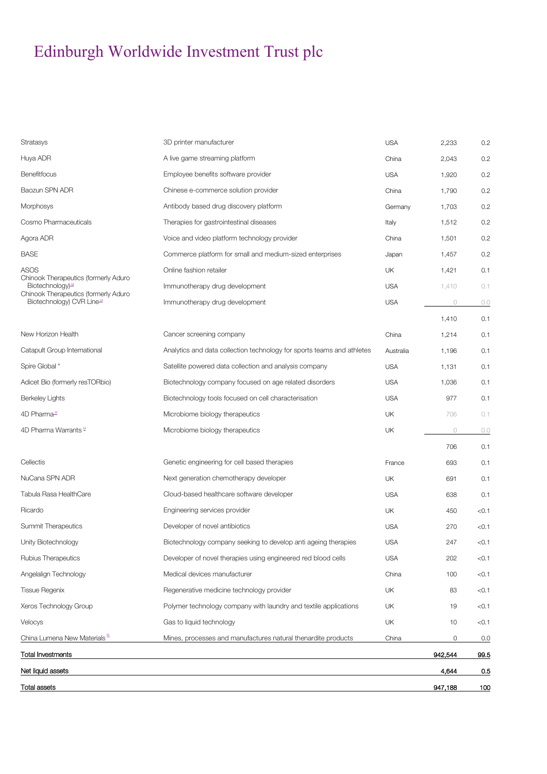| Total assets                                                                  |                                                                        |            | 947,188 | 100   |
|-------------------------------------------------------------------------------|------------------------------------------------------------------------|------------|---------|-------|
| Net liquid assets                                                             |                                                                        |            | 4,644   | 0.5   |
| <b>Total Investments</b>                                                      |                                                                        |            | 942,544 | 99.5  |
| China Lumena New Materials <sup>S</sup>                                       | Mines, processes and manufactures natural thenardite products          | China      | 0       | 0.0   |
| Velocys                                                                       | Gas to liquid technology                                               | UK         | 10      | < 0.1 |
| Xeros Technology Group                                                        | Polymer technology company with laundry and textile applications       | UK         | 19      | < 0.1 |
| <b>Tissue Regenix</b>                                                         | Regenerative medicine technology provider                              | UK         | 83      | < 0.1 |
| Angelalign Technology                                                         | Medical devices manufacturer                                           | China      | 100     | < 0.1 |
| Rubius Therapeutics                                                           | Developer of novel therapies using engineered red blood cells          | <b>USA</b> | 202     | < 0.1 |
| Unity Biotechnology                                                           | Biotechnology company seeking to develop anti ageing therapies         | <b>USA</b> | 247     | < 0.1 |
| Summit Therapeutics                                                           | Developer of novel antibiotics                                         | <b>USA</b> | 270     | < 0.1 |
| Ricardo                                                                       | Engineering services provider                                          | UK         | 450     | < 0.1 |
| Tabula Rasa HealthCare                                                        | Cloud-based healthcare software developer                              | <b>USA</b> | 638     | 0.1   |
| NuCana SPN ADR                                                                | Next generation chemotherapy developer                                 | UK         | 691     | 0.1   |
| Cellectis                                                                     | Genetic engineering for cell based therapies                           | France     | 693     | 0.1   |
|                                                                               |                                                                        |            | 706     | 0.1   |
| 4D Pharma Warrants L                                                          | Microbiome biology therapeutics                                        | UK         | $\circ$ | 0.0   |
| 4D Pharma <sup>11</sup>                                                       | Microbiome biology therapeutics                                        | UK         | 706     | 0.1   |
| Berkeley Lights                                                               | Biotechnology tools focused on cell characterisation                   | <b>USA</b> | 977     | 0.1   |
| Adicet Bio (formerly resTORbio)                                               | Biotechnology company focused on age related disorders                 | <b>USA</b> | 1,036   | 0.1   |
| Spire Global *                                                                | Satellite powered data collection and analysis company                 | <b>USA</b> | 1,131   | 0.1   |
| Catapult Group International                                                  | Analytics and data collection technology for sports teams and athletes | Australia  | 1,196   | 0.1   |
| New Horizon Health                                                            | Cancer screening company                                               | China      | 1,214   | 0.1   |
|                                                                               |                                                                        |            | 1,410   | 0.1   |
| Chinook Therapeutics (formerly Aduro<br>Biotechnology) CVR Line <sup>14</sup> | Immunotherapy drug development                                         | <b>USA</b> | $\circ$ | 0.0   |
| Chinook Therapeutics (formerly Aduro<br>Biotechnology) <sup>11</sup>          | Immunotherapy drug development                                         | <b>USA</b> | 1,410   | 0.1   |
| <b>ASOS</b>                                                                   | Online fashion retailer                                                | UK         | 1,421   | 0.1   |
| <b>BASE</b>                                                                   | Commerce platform for small and medium-sized enterprises               | Japan      | 1,457   | 0.2   |
| Agora ADR                                                                     | Voice and video platform technology provider                           | China      | 1,501   | 0.2   |
| Cosmo Pharmaceuticals                                                         | Therapies for gastrointestinal diseases                                | Italy      | 1,512   | 0.2   |
| <b>Morphosys</b>                                                              | Antibody based drug discovery platform                                 | Germany    | 1,703   | 0.2   |
| Baozun SPN ADR                                                                | Chinese e-commerce solution provider                                   | China      | 1,790   | 0.2   |
| Benefitfocus                                                                  | Employee benefits software provider                                    | <b>USA</b> | 1,920   | 0.2   |
| Huya ADR                                                                      | A live game streaming platform                                         | China      | 2,043   | 0.2   |
| <b>Stratasys</b>                                                              | 3D printer manufacturer                                                | <b>USA</b> | 2,233   | 0.2   |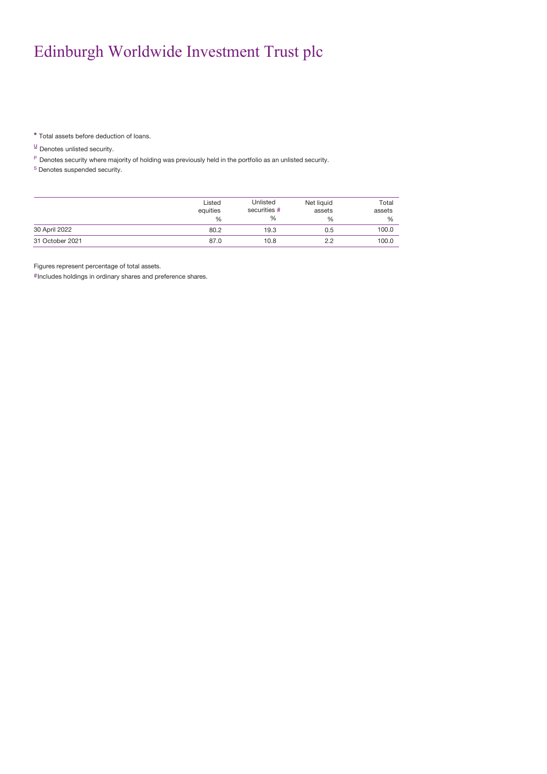\* Total assets before deduction of loans.

 $\frac{u}{r}$  Denotes unlisted security.

P Denotes security where majority of holding was previously held in the portfolio as an unlisted security.

<sup>S</sup> Denotes suspended security.

|                 | Listed<br>equities<br>$\frac{0}{6}$ | Unlisted<br>securities #<br>% | Net liquid<br>assets<br>% | Total<br>assets<br>% |
|-----------------|-------------------------------------|-------------------------------|---------------------------|----------------------|
| 30 April 2022   | 80.2                                | 19.3                          | 0.5                       | 100.0                |
| 31 October 2021 | 87.0                                | 10.8                          | 2.2                       | 100.0                |

Figures represent percentage of total assets.

#Includes holdings in ordinary shares and preference shares.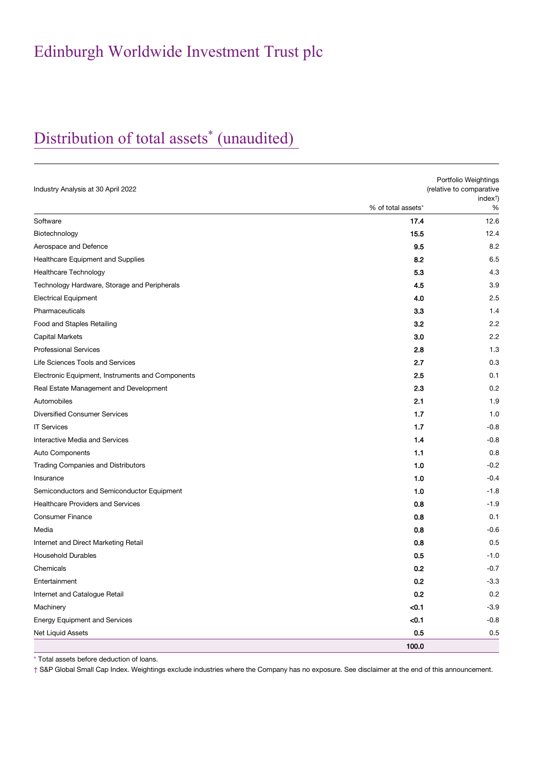# Distribution of total assets\* (unaudited)

| Industry Analysis at 30 April 2022               |                    | Portfolio Weightings<br>(relative to comparative |
|--------------------------------------------------|--------------------|--------------------------------------------------|
|                                                  | % of total assets* | index <sup>†</sup><br>$\%$                       |
| Software                                         | 17.4               | 12.6                                             |
| Biotechnology                                    | 15.5               | 12.4                                             |
| Aerospace and Defence                            | 9.5                | 8.2                                              |
| Healthcare Equipment and Supplies                | 8.2                | 6.5                                              |
| <b>Healthcare Technology</b>                     | 5.3                | 4.3                                              |
| Technology Hardware, Storage and Peripherals     | 4.5                | 3.9                                              |
| <b>Electrical Equipment</b>                      | 4.0                | 2.5                                              |
| Pharmaceuticals                                  | 3.3                | 1.4                                              |
| Food and Staples Retailing                       | 3.2                | 2.2                                              |
| <b>Capital Markets</b>                           | 3.0                | 2.2                                              |
| <b>Professional Services</b>                     | 2.8                | 1.3                                              |
| Life Sciences Tools and Services                 | 2.7                | 0.3                                              |
| Electronic Equipment, Instruments and Components | 2.5                | 0.1                                              |
| Real Estate Management and Development           | 2.3                | 0.2                                              |
| Automobiles                                      | 2.1                | 1.9                                              |
| <b>Diversified Consumer Services</b>             | 1.7                | 1.0                                              |
| <b>IT Services</b>                               | 1.7                | $-0.8$                                           |
| Interactive Media and Services                   | 1.4                | $-0.8$                                           |
| Auto Components                                  | 1.1                | 0.8                                              |
| <b>Trading Companies and Distributors</b>        | 1.0                | $-0.2$                                           |
| Insurance                                        | 1.0                | $-0.4$                                           |
| Semiconductors and Semiconductor Equipment       | 1.0                | $-1.8$                                           |
| <b>Healthcare Providers and Services</b>         | 0.8                | $-1.9$                                           |
| <b>Consumer Finance</b>                          | 0.8                | 0.1                                              |
| Media                                            | 0.8                | $-0.6$                                           |
| Internet and Direct Marketing Retail             | 0.8                | 0.5                                              |
| <b>Household Durables</b>                        | 0.5                | $-1.0$                                           |
| Chemicals                                        | 0.2                | $-0.7$                                           |
| Entertainment                                    | 0.2                | $-3.3$                                           |
| Internet and Catalogue Retail                    | 0.2                | 0.2                                              |
| Machinery                                        | < 0.1              | $-3.9$                                           |
| <b>Energy Equipment and Services</b>             | < 0.1              | $-0.8$                                           |
| Net Liquid Assets                                | 0.5                | 0.5                                              |
|                                                  | 100.0              |                                                  |

\* Total assets before deduction of loans.

† S&P Global Small Cap Index. Weightings exclude industries where the Company has no exposure. See disclaimer at the end of this announcement.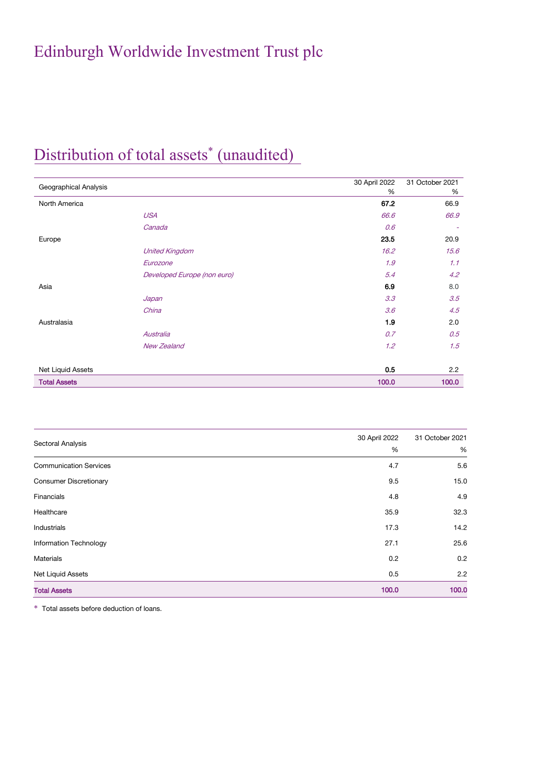## Distribution of total assets<sup>\*</sup> (unaudited)

| Geographical Analysis |                             | 30 April 2022 | 31 October 2021          |
|-----------------------|-----------------------------|---------------|--------------------------|
|                       |                             | %             | %                        |
| North America         |                             | 67.2          | 66.9                     |
|                       | <b>USA</b>                  | 66.6          | 66.9                     |
|                       | Canada                      | 0.6           | $\overline{\phantom{a}}$ |
| Europe                |                             | 23.5          | 20.9                     |
|                       | <b>United Kingdom</b>       | 16.2          | 15.6                     |
|                       | Eurozone                    | 1.9           | 1.1                      |
|                       | Developed Europe (non euro) | 5.4           | 4.2                      |
| Asia                  |                             | 6.9           | 8.0                      |
|                       | Japan                       | 3.3           | 3.5                      |
|                       | China                       | 3.6           | 4.5                      |
| Australasia           |                             | 1.9           | 2.0                      |
|                       | Australia                   | 0.7           | 0.5                      |
|                       | <b>New Zealand</b>          | 1.2           | 1.5                      |
| Net Liquid Assets     |                             | 0.5           | 2.2                      |
| <b>Total Assets</b>   |                             | 100.0         | 100.0                    |

|                               | 30 April 2022 | 31 October 2021 |
|-------------------------------|---------------|-----------------|
| Sectoral Analysis             | %             | %               |
| <b>Communication Services</b> | 4.7           | 5.6             |
| <b>Consumer Discretionary</b> | 9.5           | 15.0            |
| Financials                    | 4.8           | 4.9             |
| Healthcare                    | 35.9          | 32.3            |
| Industrials                   | 17.3          | 14.2            |
| Information Technology        | 27.1          | 25.6            |
| Materials                     | 0.2           | 0.2             |
| Net Liquid Assets             | 0.5           | 2.2             |
| <b>Total Assets</b>           | 100.0         | 100.0           |

\* Total assets before deduction of loans.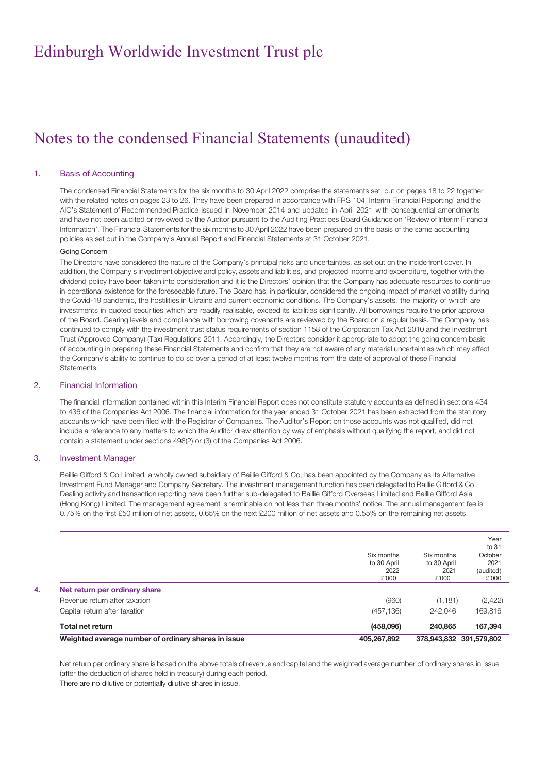## Notes to the condensed Financial Statements (unaudited)

#### 1. Basis of Accounting

The condensed Financial Statements for the six months to 30 April 2022 comprise the statements set out on pages 18 to 22 together with the related notes on pages 23 to 26. They have been prepared in accordance with FRS 104 'Interim Financial Reporting' and the AIC's Statement of Recommended Practice issued in November 2014 and updated in April 2021 with consequential amendments and have not been audited or reviewed by the Auditor pursuant to the Auditing Practices Board Guidance on 'Review of Interim Financial Information'. The Financial Statements for the six months to 30 April 2022 have been prepared on the basis of the same accounting policies as set out in the Company's Annual Report and Financial Statements at 31 October 2021.

#### Going Concern

The Directors have considered the nature of the Company's principal risks and uncertainties, as set out on the inside front cover. In addition, the Company's investment objective and policy, assets and liabilities, and projected income and expenditure, together with the dividend policy have been taken into consideration and it is the Directors' opinion that the Company has adequate resources to continue in operational existence for the foreseeable future. The Board has, in particular, considered the ongoing impact of market volatility during the Covid-19 pandemic, the hostilities in Ukraine and current economic conditions. The Company's assets, the majority of which are investments in quoted securities which are readily realisable, exceed its liabilities significantly. All borrowings require the prior approval of the Board. Gearing levels and compliance with borrowing covenants are reviewed by the Board on a regular basis. The Company has continued to comply with the investment trust status requirements of section 1158 of the Corporation Tax Act 2010 and the Investment Trust (Approved Company) (Tax) Regulations 2011. Accordingly, the Directors consider it appropriate to adopt the going concern basis of accounting in preparing these Financial Statements and confirm that they are not aware of any material uncertainties which may affect the Company's ability to continue to do so over a period of at least twelve months from the date of approval of these Financial Statements.

#### 2. Financial Information

The financial information contained within this Interim Financial Report does not constitute statutory accounts as defined in sections 434 to 436 of the Companies Act 2006. The financial information for the year ended 31 October 2021 has been extracted from the statutory accounts which have been filed with the Registrar of Companies. The Auditor's Report on those accounts was not qualified, did not include a reference to any matters to which the Auditor drew attention by way of emphasis without qualifying the report, and did not contain a statement under sections 498(2) or (3) of the Companies Act 2006.

#### 3. Investment Manager

Baillie Gifford & Co Limited, a wholly owned subsidiary of Baillie Gifford & Co, has been appointed by the Company as its Alternative Investment Fund Manager and Company Secretary. The investment management function has been delegated to Baillie Gifford & Co. Dealing activity and transaction reporting have been further sub-delegated to Baillie Gifford Overseas Limited and Baillie Gifford Asia (Hong Kong) Limited. The management agreement is terminable on not less than three months' notice. The annual management fee is 0.75% on the first £50 million of net assets, 0.65% on the next £200 million of net assets and 0.55% on the remaining net assets.

|                               | Weighted average number of ordinary shares in issue | 405,267,892                                |                                            | 378,943,832 391,579,802                                |
|-------------------------------|-----------------------------------------------------|--------------------------------------------|--------------------------------------------|--------------------------------------------------------|
| Total net return              |                                                     | (458,096)                                  | 240,865                                    | 167,394                                                |
| Capital return after taxation |                                                     | (457, 136)                                 | 242.046                                    | 169,816                                                |
| Revenue return after taxation |                                                     | (960)                                      | (1, 181)                                   | (2,422)                                                |
| Net return per ordinary share |                                                     |                                            |                                            |                                                        |
|                               |                                                     | Six months<br>to 30 April<br>2022<br>£'000 | Six months<br>to 30 April<br>2021<br>£'000 | Year<br>to 31<br>October<br>2021<br>(audited)<br>£'000 |

Net return per ordinary share is based on the above totals of revenue and capital and the weighted average number of ordinary shares in issue (after the deduction of shares held in treasury) during each period. There are no dilutive or potentially dilutive shares in issue.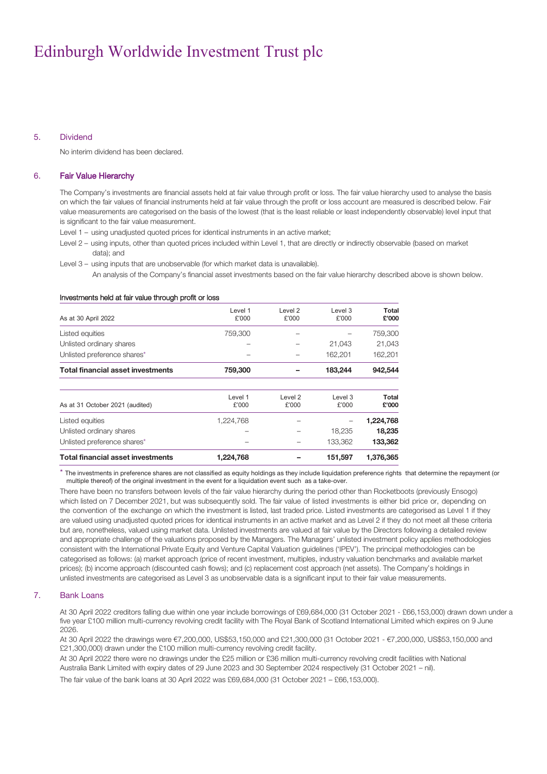#### 5. Dividend

No interim dividend has been declared.

#### 6. Fair Value Hierarchy

The Company's investments are financial assets held at fair value through profit or loss. The fair value hierarchy used to analyse the basis on which the fair values of financial instruments held at fair value through the profit or loss account are measured is described below. Fair value measurements are categorised on the basis of the lowest (that is the least reliable or least independently observable) level input that is significant to the fair value measurement.

- Level 1 using unadjusted quoted prices for identical instruments in an active market;
- Level 2 using inputs, other than quoted prices included within Level 1, that are directly or indirectly observable (based on market data); and

Level 3 – using inputs that are unobservable (for which market data is unavailable).

An analysis of the Company's financial asset investments based on the fair value hierarchy described above is shown below.

#### Investments held at fair value through profit or loss

| As at 30 April 2022                      | Level 1<br>£'000 | Level 2<br>£'000 | Level 3<br>£'000 | Total<br>£'000 |
|------------------------------------------|------------------|------------------|------------------|----------------|
| Listed equities                          | 759,300          |                  |                  | 759,300        |
| Unlisted ordinary shares                 |                  |                  | 21.043           | 21,043         |
| Unlisted preference shares*              |                  |                  | 162.201          | 162,201        |
| <b>Total financial asset investments</b> | 759,300          |                  | 183,244          | 942,544        |
| As at 31 October 2021 (audited)          | Level 1<br>£'000 | Level 2<br>£'000 | Level 3<br>£'000 | Total<br>£'000 |
| Listed equities                          | 1,224,768        |                  |                  | 1,224,768      |
| Unlisted ordinary shares                 |                  |                  | 18,235           | 18,235         |
| Unlisted preference shares*              |                  |                  | 133,362          | 133,362        |
| <b>Total financial asset investments</b> | 1,224,768        |                  | 151,597          | 1,376,365      |

\* The investments in preference shares are not classified as equity holdings as they include liquidation preference rights that determine the repayment (or multiple thereof) of the original investment in the event for a liquidation event such as a take-over.

There have been no transfers between levels of the fair value hierarchy during the period other than Rocketboots (previously Ensogo) which listed on 7 December 2021, but was subsequently sold. The fair value of listed investments is either bid price or, depending on the convention of the exchange on which the investment is listed, last traded price. Listed investments are categorised as Level 1 if they are valued using unadjusted quoted prices for identical instruments in an active market and as Level 2 if they do not meet all these criteria but are, nonetheless, valued using market data. Unlisted investments are valued at fair value by the Directors following a detailed review and appropriate challenge of the valuations proposed by the Managers. The Managers' unlisted investment policy applies methodologies consistent with the International Private Equity and Venture Capital Valuation guidelines ('IPEV'). The principal methodologies can be categorised as follows: (a) market approach (price of recent investment, multiples, industry valuation benchmarks and available market prices); (b) income approach (discounted cash flows); and (c) replacement cost approach (net assets). The Company's holdings in unlisted investments are categorised as Level 3 as unobservable data is a significant input to their fair value measurements.

#### 7. Bank Loans

At 30 April 2022 creditors falling due within one year include borrowings of £69,684,000 (31 October 2021 - £66,153,000) drawn down under a five year £100 million multi-currency revolving credit facility with The Royal Bank of Scotland International Limited which expires on 9 June 2026.

At 30 April 2022 the drawings were €7,200,000, US\$53,150,000 and £21,300,000 (31 October 2021 - €7,200,000, US\$53,150,000 and £21,300,000) drawn under the £100 million multi-currency revolving credit facility.

At 30 April 2022 there were no drawings under the £25 million or £36 million multi-currency revolving credit facilities with National Australia Bank Limited with expiry dates of 29 June 2023 and 30 September 2024 respectively (31 October 2021 – nil).

The fair value of the bank loans at 30 April 2022 was £69,684,000 (31 October 2021 – £66,153,000).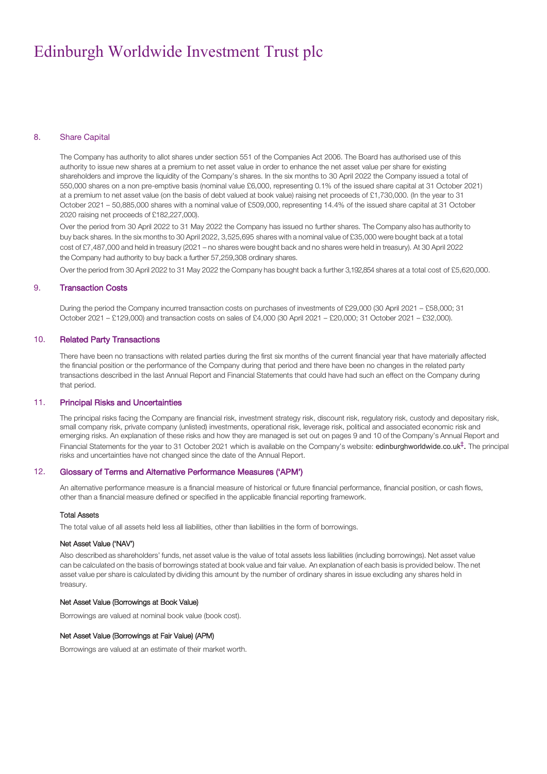#### 8. Share Capital

The Company has authority to allot shares under section 551 of the Companies Act 2006. The Board has authorised use of this authority to issue new shares at a premium to net asset value in order to enhance the net asset value per share for existing shareholders and improve the liquidity of the Company's shares. In the six months to 30 April 2022 the Company issued a total of 550,000 shares on a non pre-emptive basis (nominal value £6,000, representing 0.1% of the issued share capital at 31 October 2021) at a premium to net asset value (on the basis of debt valued at book value) raising net proceeds of £1,730,000. (In the year to 31 October 2021 – 50,885,000 shares with a nominal value of £509,000, representing 14.4% of the issued share capital at 31 October 2020 raising net proceeds of £182,227,000).

Over the period from 30 April 2022 to 31 May 2022 the Company has issued no further shares. The Company also has authority to buy back shares. In the six months to 30 April 2022, 3,525,695 shares with a nominal value of £35,000 were bought back at a total cost of £7,487,000 and held in treasury (2021 – no shares were bought back and no shares were held in treasury). At 30 April 2022 the Company had authority to buy back a further 57,259,308 ordinary shares.

Over the period from 30 April 2022 to 31 May 2022 the Company has bought back a further 3,192,854 shares at a total cost of £5,620,000.

#### 9. Transaction Costs

During the period the Company incurred transaction costs on purchases of investments of £29,000 (30 April 2021 – £58,000; 31 October 2021 – £129,000) and transaction costs on sales of £4,000 (30 April 2021 – £20,000; 31 October 2021 – £32,000).

#### 10. Related Party Transactions

There have been no transactions with related parties during the first six months of the current financial year that have materially affected the financial position or the performance of the Company during that period and there have been no changes in the related party transactions described in the last Annual Report and Financial Statements that could have had such an effect on the Company during that period.

#### 11. Principal Risks and Uncertainties

The principal risks facing the Company are financial risk, investment strategy risk, discount risk, regulatory risk, custody and depositary risk, small company risk, private company (unlisted) investments, operational risk, leverage risk, political and associated economic risk and emerging risks. An explanation of these risks and how they are managed is set out on pages 9 and 10 of the Company's Annual Report and Financial Statements for the year to 31 October 2021 which is available on the Company's website: edinburghworldwide.co.uk<sup>†</sup>. The principal risks and uncertainties have not changed since the date of the Annual Report.

#### 12. Glossary of Terms and Alternative Performance Measures ('APM')

An alternative performance measure is a financial measure of historical or future financial performance, financial position, or cash flows, other than a financial measure defined or specified in the applicable financial reporting framework.

#### Total Assets

The total value of all assets held less all liabilities, other than liabilities in the form of borrowings.

#### Net Asset Value ('NAV')

Also described as shareholders' funds, net asset value is the value of total assets less liabilities (including borrowings). Net asset value can be calculated on the basis of borrowings stated at book value and fair value. An explanation of each basis is provided below. The net asset value per share is calculated by dividing this amount by the number of ordinary shares in issue excluding any shares held in treasury.

#### Net Asset Value (Borrowings at Book Value)

Borrowings are valued at nominal book value (book cost).

#### Net Asset Value (Borrowings at Fair Value) (APM)

Borrowings are valued at an estimate of their market worth.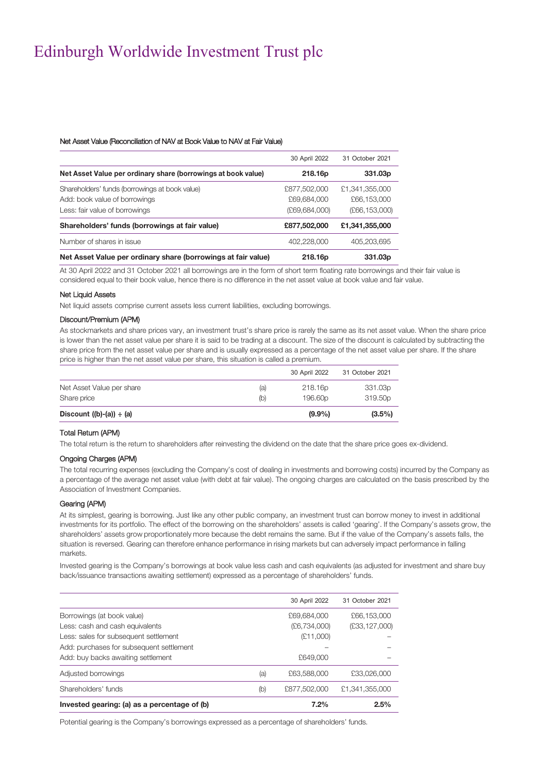#### Net Asset Value (Reconciliation of NAV at Book Value to NAV at Fair Value)

|                                                               | 30 April 2022   | 31 October 2021 |
|---------------------------------------------------------------|-----------------|-----------------|
| Net Asset Value per ordinary share (borrowings at book value) | 218.16p         | 331.03p         |
| Shareholders' funds (borrowings at book value)                | £877,502,000    | £1,341,355,000  |
| Add: book value of borrowings                                 | £69,684,000     | £66,153,000     |
| Less: fair value of borrowings                                | (E69, 684, 000) | (E66, 153, 000) |
| Shareholders' funds (borrowings at fair value)                | £877,502,000    | £1,341,355,000  |
| Number of shares in issue                                     | 402,228,000     | 405,203,695     |
| Net Asset Value per ordinary share (borrowings at fair value) | 218.16p         | 331.03p         |

At 30 April 2022 and 31 October 2021 all borrowings are in the form of short term floating rate borrowings and their fair value is considered equal to their book value, hence there is no difference in the net asset value at book value and fair value.

#### Net Liquid Assets

Net liquid assets comprise current assets less current liabilities, excluding borrowings.

#### Discount/Premium (APM)

As stockmarkets and share prices vary, an investment trust's share price is rarely the same as its net asset value. When the share price is lower than the net asset value per share it is said to be trading at a discount. The size of the discount is calculated by subtracting the share price from the net asset value per share and is usually expressed as a percentage of the net asset value per share. If the share price is higher than the net asset value per share, this situation is called a premium.

|                               |     | 30 April 2022       | 31 October 2021 |
|-------------------------------|-----|---------------------|-----------------|
| Net Asset Value per share     | (a) | 218.16p             | 331.03p         |
| Share price                   | (b) | 196.60 <sub>p</sub> | 319.50p         |
| Discount $((b)-(a)) \div (a)$ |     | $(9.9\%)$           | $(3.5\%)$       |

#### Total Return (APM)

The total return is the return to shareholders after reinvesting the dividend on the date that the share price goes ex-dividend.

#### Ongoing Charges (APM)

The total recurring expenses (excluding the Company's cost of dealing in investments and borrowing costs) incurred by the Company as a percentage of the average net asset value (with debt at fair value). The ongoing charges are calculated on the basis prescribed by the Association of Investment Companies.

#### Gearing (APM)

At its simplest, gearing is borrowing. Just like any other public company, an investment trust can borrow money to invest in additional investments for its portfolio. The effect of the borrowing on the shareholders' assets is called 'gearing'. If the Company's assets grow, the shareholders' assets grow proportionately more because the debt remains the same. But if the value of the Company's assets falls, the situation is reversed. Gearing can therefore enhance performance in rising markets but can adversely impact performance in falling markets.

Invested gearing is the Company's borrowings at book value less cash and cash equivalents (as adjusted for investment and share buy back/issuance transactions awaiting settlement) expressed as a percentage of shareholders' funds.

|                                              |     | 30 April 2022  | 31 October 2021 |
|----------------------------------------------|-----|----------------|-----------------|
| Borrowings (at book value)                   |     | £69,684,000    | £66,153,000     |
| Less: cash and cash equivalents              |     | (E6, 734, 000) | (E33, 127, 000) |
| Less: sales for subsequent settlement        |     | (E11,000)      |                 |
| Add: purchases for subsequent settlement     |     |                |                 |
| Add: buy backs awaiting settlement           |     | £649,000       |                 |
| Adjusted borrowings                          | (a) | £63,588,000    | £33,026,000     |
| Shareholders' funds                          | (b) | £877,502,000   | £1,341,355,000  |
| Invested gearing: (a) as a percentage of (b) |     | 7.2%           | 2.5%            |

Potential gearing is the Company's borrowings expressed as a percentage of shareholders' funds.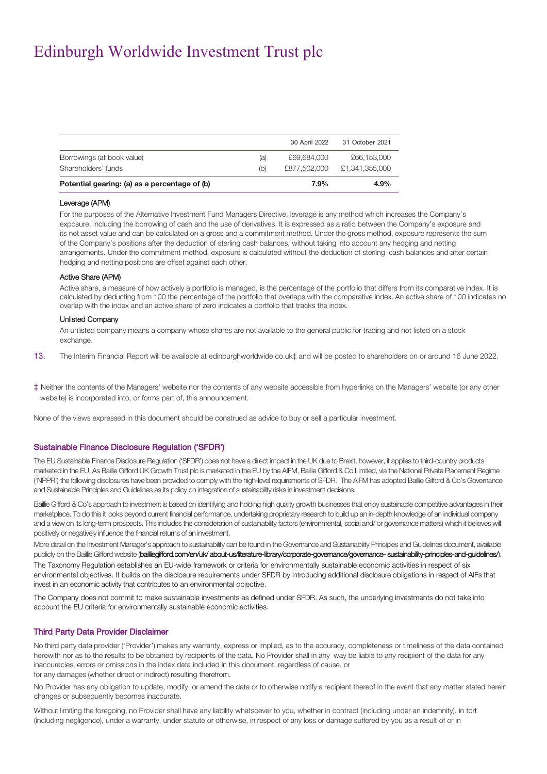| £66,153,000<br>£1.341.355.000 |
|-------------------------------|
|                               |
|                               |
| 31 October 2021               |
|                               |

#### Leverage (APM)

For the purposes of the Alternative Investment Fund Managers Directive, leverage is any method which increases the Company's exposure, including the borrowing of cash and the use of derivatives. It is expressed as a ratio between the Company's exposure and its net asset value and can be calculated on a gross and a commitment method. Under the gross method, exposure represents the sum of the Company's positions after the deduction of sterling cash balances, without taking into account any hedging and netting arrangements. Under the commitment method, exposure is calculated without the deduction of sterling cash balances and after certain hedging and netting positions are offset against each other.

#### Active Share (APM)

Active share, a measure of how actively a portfolio is managed, is the percentage of the portfolio that differs from its comparative index. It is calculated by deducting from 100 the percentage of the portfolio that overlaps with the comparative index. An active share of 100 indicates no overlap with the index and an active share of zero indicates a portfolio that tracks the index.

#### Unlisted Company

An unlisted company means a company whose shares are not available to the general public for trading and not listed on a stock exchange.

- 13. The Interim Financial Report will be available a[t edinburghworldwide.co.uk‡](http://www.edinburghworldwide.co.uk/) and will be posted to shareholders on or around 16 June 2022.
- ‡ Neither the contents of the Managers' website nor the contents of any website accessible from hyperlinks on the Managers' website (or any other website) is incorporated into, or forms part of, this announcement.

None of the views expressed in this document should be construed as advice to buy or sell a particular investment.

#### Sustainable Finance Disclosure Regulation ('SFDR')

The EU Sustainable Finance Disclosure Regulation ('SFDR') does not have a direct impact in the UK due to Brexit, however, it applies to third-country products marketed in the EU. As Baillie Gifford UK Growth Trust plc is marketed in the EU by the AIFM, Baillie Gifford & Co Limited, via the National Private Placement Regime ('NPPR') the following disclosures have been provided to comply with the high-level requirements of SFDR. The AIFM has adopted Baillie Gifford & Co's Governance and Sustainable Principles and Guidelines as its policy on integration of sustainability risks in investment decisions.

Baillie Gifford & Co's approach to investment is based on identifying and holding high quality growth businesses that enjoy sustainable competitive advantages in their marketplace. To do this it looks beyond current financial performance, undertaking proprietary research to build up an in-depth knowledge of an individual company and a view on its long-term prospects. This includes the consideration of sustainability factors (environmental, social and/ or governance matters) which it believes will positively or negatively influence the financial returns of an investment.

More detail on the Investment Manager's approach to sustainability can be found in the Governance and Sustainability Principles and Guidelines document, available publicly on the Baillie Gifford website (bailliegifford.com/en/uk/ about-us/literature-library/corporate-governance/governance- sustainability-principles-and-guidelines/). The Taxonomy Regulation establishes an EU-wide framework or criteria for environmentally sustainable economic activities in respect of six environmental objectives. It builds on the disclosure requirements under SFDR by introducing additional disclosure obligations in respect of AIFs that invest in an economic activity that contributes to an environmental objective.

The Company does not commit to make sustainable investments as defined under SFDR. As such, the underlying investments do not take into account the EU criteria for environmentally sustainable economic activities.

#### Third Party Data Provider Disclaimer

No third party data provider ('Provider') makes any warranty, express or implied, as to the accuracy, completeness or timeliness of the data contained herewith nor as to the results to be obtained by recipients of the data. No Provider shall in any way be liable to any recipient of the data for any inaccuracies, errors or omissions in the index data included in this document, regardless of cause, or for any damages (whether direct or indirect) resulting therefrom.

No Provider has any obligation to update, modify or amend the data or to otherwise notify a recipient thereof in the event that any matter stated herein changes or subsequently becomes inaccurate.

Without limiting the foregoing, no Provider shall have any liability whatsoever to you, whether in contract (including under an indemnity), in tort (including negligence), under a warranty, under statute or otherwise, in respect of any loss or damage suffered by you as a result of or in